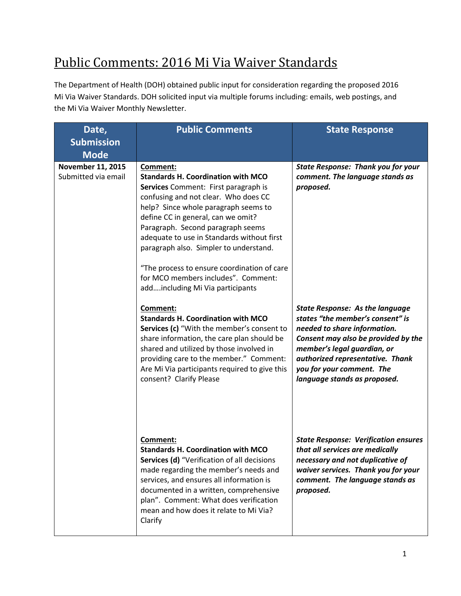# Public Comments: 2016 Mi Via Waiver Standards

The Department of Health (DOH) obtained public input for consideration regarding the proposed 2016 Mi Via Waiver Standards. DOH solicited input via multiple forums including: emails, web postings, and the Mi Via Waiver Monthly Newsletter.

| Date,<br><b>Submission</b><br><b>Mode</b>       | <b>Public Comments</b>                                                                                                                                                                                                                                                                                                                                                                                                                                                     | <b>State Response</b>                                                                                                                                                                                                                                                             |
|-------------------------------------------------|----------------------------------------------------------------------------------------------------------------------------------------------------------------------------------------------------------------------------------------------------------------------------------------------------------------------------------------------------------------------------------------------------------------------------------------------------------------------------|-----------------------------------------------------------------------------------------------------------------------------------------------------------------------------------------------------------------------------------------------------------------------------------|
| <b>November 11, 2015</b><br>Submitted via email | Comment:<br><b>Standards H. Coordination with MCO</b><br>Services Comment: First paragraph is<br>confusing and not clear. Who does CC<br>help? Since whole paragraph seems to<br>define CC in general, can we omit?<br>Paragraph. Second paragraph seems<br>adequate to use in Standards without first<br>paragraph also. Simpler to understand.<br>"The process to ensure coordination of care<br>for MCO members includes". Comment:<br>addincluding Mi Via participants | <b>State Response: Thank you for your</b><br>comment. The language stands as<br>proposed.                                                                                                                                                                                         |
|                                                 | Comment:<br><b>Standards H. Coordination with MCO</b><br>Services (c) "With the member's consent to<br>share information, the care plan should be<br>shared and utilized by those involved in<br>providing care to the member." Comment:<br>Are Mi Via participants required to give this<br>consent? Clarify Please                                                                                                                                                       | <b>State Response: As the language</b><br>states "the member's consent" is<br>needed to share information.<br>Consent may also be provided by the<br>member's legal guardian, or<br>authorized representative. Thank<br>you for your comment. The<br>language stands as proposed. |
|                                                 | Comment:<br><b>Standards H. Coordination with MCO</b><br>Services (d) "Verification of all decisions<br>made regarding the member's needs and<br>services, and ensures all information is<br>documented in a written, comprehensive<br>plan". Comment: What does verification<br>mean and how does it relate to Mi Via?<br>Clarify                                                                                                                                         | <b>State Response: Verification ensures</b><br>that all services are medically<br>necessary and not duplicative of<br>waiver services. Thank you for your<br>comment. The language stands as<br>proposed.                                                                         |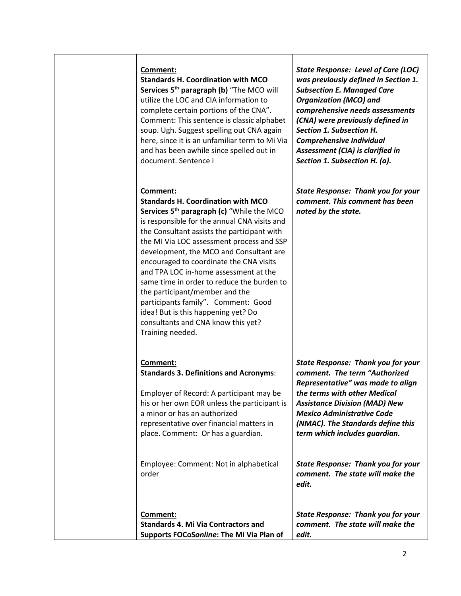**Standards H. Coordination with MCO Services 5 th paragraph (b)** "The MCO will utilize the LOC and CIA information to complete certain portions of the CNA". Comment: This sentence is classic alphabet soup. Ugh. Suggest spelling out CNA again here, since it is an unfamiliar term to Mi Via and has been awhile since spelled out in document. Sentence i

#### **Comment:**

**Standards H. Coordination with MCO Services 5 th paragraph (c)** "While the MCO is responsible for the annual CNA visits and the Consultant assists the participant with the MI Via LOC assessment process and SSP development, the MCO and Consultant are encouraged to coordinate the CNA visits and TPA LOC in-home assessment at the same time in order to reduce the burden to the participant/member and the participants family". Comment: Good idea! But is this happening yet? Do consultants and CNA know this yet? Training needed.

*State Response: Level of Care (LOC) was previously defined in Section 1. Subsection E. Managed Care Organization (MCO) and comprehensive needs assessments (CNA) were previously defined in Section 1. Subsection H. Comprehensive Individual Assessment (CIA) is clarified in Section 1. Subsection H. (a).*

*State Response: Thank you for your comment. This comment has been noted by the state.*

| <b>Comment:</b>                               | <b>State Resp</b>  |
|-----------------------------------------------|--------------------|
| <b>Standards 3. Definitions and Acronyms:</b> | comment.           |
|                                               | Represento         |
| Employer of Record: A participant may be      | the terms <b>v</b> |
| au hau au m EOD unlass the mantisipens        |                    |

his or her own EOR unless the participant is a minor or has an authorized representative over financial matters in place. Comment: Or has a guardian.

Employee: Comment: Not in alphabetical order

**Comment: Standards 4. Mi Via Contractors and Supports FOCoS***online***: The Mi Via Plan of**  *State Response: Thank you for your comment. The state will make the edit.*

*State Response: Thank you for your The term "Authorized Representative" was made to align*   $with other Medical$ *Assistance Division (MAD) New Mexico Administrative Code (NMAC). The Standards define this term which includes guardian.*

*State Response: Thank you for your comment. The state will make the edit.*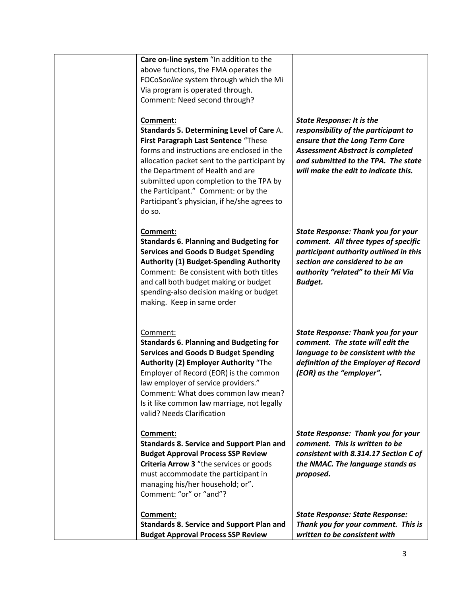| Care on-line system "In addition to the<br>above functions, the FMA operates the<br>FOCoSonline system through which the Mi<br>Via program is operated through.<br>Comment: Need second through?                                                                                                                                                                             |                                                                                                                                                                                                                                      |
|------------------------------------------------------------------------------------------------------------------------------------------------------------------------------------------------------------------------------------------------------------------------------------------------------------------------------------------------------------------------------|--------------------------------------------------------------------------------------------------------------------------------------------------------------------------------------------------------------------------------------|
| Comment:<br>Standards 5. Determining Level of Care A.<br>First Paragraph Last Sentence "These<br>forms and instructions are enclosed in the<br>allocation packet sent to the participant by<br>the Department of Health and are<br>submitted upon completion to the TPA by<br>the Participant." Comment: or by the<br>Participant's physician, if he/she agrees to<br>do so. | <b>State Response: It is the</b><br>responsibility of the participant to<br>ensure that the Long Term Care<br><b>Assessment Abstract is completed</b><br>and submitted to the TPA. The state<br>will make the edit to indicate this. |
| Comment:<br><b>Standards 6. Planning and Budgeting for</b><br><b>Services and Goods D Budget Spending</b><br><b>Authority (1) Budget-Spending Authority</b><br>Comment: Be consistent with both titles<br>and call both budget making or budget<br>spending-also decision making or budget<br>making. Keep in same order                                                     | <b>State Response: Thank you for your</b><br>comment. All three types of specific<br>participant authority outlined in this<br>section are considered to be an<br>authority "related" to their Mi Via<br><b>Budget.</b>              |
| Comment:<br><b>Standards 6. Planning and Budgeting for</b><br><b>Services and Goods D Budget Spending</b><br>Authority (2) Employer Authority "The<br>Employer of Record (EOR) is the common<br>law employer of service providers."<br>Comment: What does common law mean?<br>Is it like common law marriage, not legally<br>valid? Needs Clarification                      | <b>State Response: Thank you for your</b><br>comment. The state will edit the<br>language to be consistent with the<br>definition of the Employer of Record<br>(EOR) as the "employer".                                              |
| Comment:<br><b>Standards 8. Service and Support Plan and</b><br><b>Budget Approval Process SSP Review</b><br>Criteria Arrow 3 "the services or goods<br>must accommodate the participant in<br>managing his/her household; or".<br>Comment: "or" or "and"?                                                                                                                   | <b>State Response: Thank you for your</b><br>comment. This is written to be<br>consistent with 8.314.17 Section C of<br>the NMAC. The language stands as<br>proposed.                                                                |
| Comment:<br><b>Standards 8. Service and Support Plan and</b><br><b>Budget Approval Process SSP Review</b>                                                                                                                                                                                                                                                                    | <b>State Response: State Response:</b><br>Thank you for your comment. This is<br>written to be consistent with                                                                                                                       |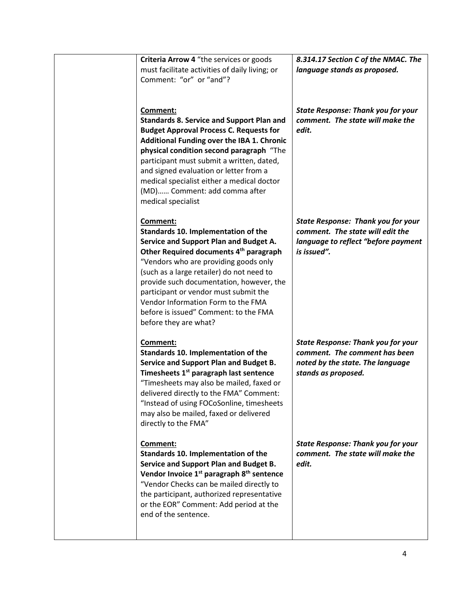| Criteria Arrow 4 "the services or goods<br>must facilitate activities of daily living; or<br>Comment: "or" or "and"?                                                                                                                                                                                                                                                                                                               | 8.314.17 Section C of the NMAC. The<br>language stands as proposed.                                                                   |
|------------------------------------------------------------------------------------------------------------------------------------------------------------------------------------------------------------------------------------------------------------------------------------------------------------------------------------------------------------------------------------------------------------------------------------|---------------------------------------------------------------------------------------------------------------------------------------|
| Comment:<br><b>Standards 8. Service and Support Plan and</b><br><b>Budget Approval Process C. Requests for</b><br>Additional Funding over the IBA 1. Chronic<br>physical condition second paragraph "The<br>participant must submit a written, dated,<br>and signed evaluation or letter from a<br>medical specialist either a medical doctor<br>(MD) Comment: add comma after<br>medical specialist                               | <b>State Response: Thank you for your</b><br>comment. The state will make the<br>edit.                                                |
| Comment:<br>Standards 10. Implementation of the<br>Service and Support Plan and Budget A.<br>Other Required documents 4 <sup>th</sup> paragraph<br>"Vendors who are providing goods only<br>(such as a large retailer) do not need to<br>provide such documentation, however, the<br>participant or vendor must submit the<br>Vendor Information Form to the FMA<br>before is issued" Comment: to the FMA<br>before they are what? | <b>State Response: Thank you for your</b><br>comment. The state will edit the<br>language to reflect "before payment<br>is issued".   |
| Comment:<br>Standards 10. Implementation of the<br>Service and Support Plan and Budget B.<br>Timesheets 1 <sup>st</sup> paragraph last sentence<br>"Timesheets may also be mailed, faxed or<br>delivered directly to the FMA" Comment:<br>"Instead of using FOCoSonline, timesheets<br>may also be mailed, faxed or delivered<br>directly to the FMA"                                                                              | <b>State Response: Thank you for your</b><br>comment. The comment has been<br>noted by the state. The language<br>stands as proposed. |
| Comment:<br>Standards 10. Implementation of the<br>Service and Support Plan and Budget B.<br>Vendor Invoice 1 <sup>st</sup> paragraph 8 <sup>th</sup> sentence<br>"Vendor Checks can be mailed directly to<br>the participant, authorized representative<br>or the EOR" Comment: Add period at the<br>end of the sentence.                                                                                                         | <b>State Response: Thank you for your</b><br>comment. The state will make the<br>edit.                                                |
|                                                                                                                                                                                                                                                                                                                                                                                                                                    |                                                                                                                                       |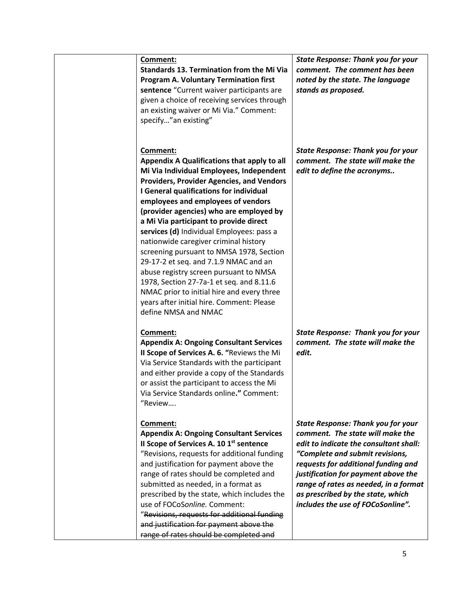| Comment:<br><b>Standards 13. Termination from the Mi Via</b><br>Program A. Voluntary Termination first<br>sentence "Current waiver participants are<br>given a choice of receiving services through<br>an existing waiver or Mi Via." Comment:<br>specify"an existing"                                                                                                                                                                                                                                                                                                                                                                                                                                            | <b>State Response: Thank you for your</b><br>comment. The comment has been<br>noted by the state. The language<br>stands as proposed.                                                                                                                                                                                                                       |
|-------------------------------------------------------------------------------------------------------------------------------------------------------------------------------------------------------------------------------------------------------------------------------------------------------------------------------------------------------------------------------------------------------------------------------------------------------------------------------------------------------------------------------------------------------------------------------------------------------------------------------------------------------------------------------------------------------------------|-------------------------------------------------------------------------------------------------------------------------------------------------------------------------------------------------------------------------------------------------------------------------------------------------------------------------------------------------------------|
| Comment:<br>Appendix A Qualifications that apply to all<br>Mi Via Individual Employees, Independent<br><b>Providers, Provider Agencies, and Vendors</b><br>I General qualifications for individual<br>employees and employees of vendors<br>(provider agencies) who are employed by<br>a Mi Via participant to provide direct<br>services (d) Individual Employees: pass a<br>nationwide caregiver criminal history<br>screening pursuant to NMSA 1978, Section<br>29-17-2 et seq. and 7.1.9 NMAC and an<br>abuse registry screen pursuant to NMSA<br>1978, Section 27-7a-1 et seq. and 8.11.6<br>NMAC prior to initial hire and every three<br>years after initial hire. Comment: Please<br>define NMSA and NMAC | <b>State Response: Thank you for your</b><br>comment. The state will make the<br>edit to define the acronyms                                                                                                                                                                                                                                                |
| Comment:<br><b>Appendix A: Ongoing Consultant Services</b><br>Il Scope of Services A. 6. "Reviews the Mi<br>Via Service Standards with the participant<br>and either provide a copy of the Standards<br>or assist the participant to access the Mi<br>Via Service Standards online." Comment:<br>"Review                                                                                                                                                                                                                                                                                                                                                                                                          | <b>State Response: Thank you for your</b><br>comment. The state will make the<br>edit.                                                                                                                                                                                                                                                                      |
| Comment:<br><b>Appendix A: Ongoing Consultant Services</b><br>Il Scope of Services A. 10 1st sentence<br>"Revisions, requests for additional funding<br>and justification for payment above the<br>range of rates should be completed and<br>submitted as needed, in a format as<br>prescribed by the state, which includes the<br>use of FOCoSonline. Comment:<br>"Revisions, requests for additional funding<br>and justification for payment above the<br>range of rates should be completed and                                                                                                                                                                                                               | <b>State Response: Thank you for your</b><br>comment. The state will make the<br>edit to indicate the consultant shall:<br>"Complete and submit revisions,<br>requests for additional funding and<br>justification for payment above the<br>range of rates as needed, in a format<br>as prescribed by the state, which<br>includes the use of FOCoSonline". |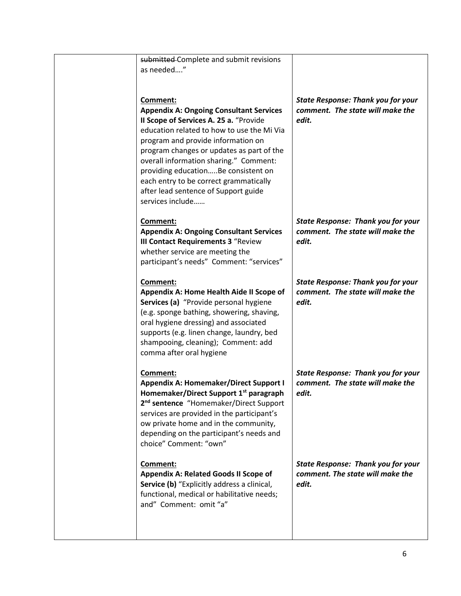| submitted Complete and submit revisions<br>as needed"                                                                                                                                                                                                                                                                                                                                                                        |                                                                                        |
|------------------------------------------------------------------------------------------------------------------------------------------------------------------------------------------------------------------------------------------------------------------------------------------------------------------------------------------------------------------------------------------------------------------------------|----------------------------------------------------------------------------------------|
| Comment:<br><b>Appendix A: Ongoing Consultant Services</b><br>Il Scope of Services A. 25 a. "Provide<br>education related to how to use the Mi Via<br>program and provide information on<br>program changes or updates as part of the<br>overall information sharing." Comment:<br>providing educationBe consistent on<br>each entry to be correct grammatically<br>after lead sentence of Support guide<br>services include | <b>State Response: Thank you for your</b><br>comment. The state will make the<br>edit. |
| Comment:<br><b>Appendix A: Ongoing Consultant Services</b><br><b>III Contact Requirements 3 "Review</b><br>whether service are meeting the<br>participant's needs" Comment: "services"                                                                                                                                                                                                                                       | <b>State Response: Thank you for your</b><br>comment. The state will make the<br>edit. |
| Comment:<br>Appendix A: Home Health Aide II Scope of<br>Services (a) "Provide personal hygiene<br>(e.g. sponge bathing, showering, shaving,<br>oral hygiene dressing) and associated<br>supports (e.g. linen change, laundry, bed<br>shampooing, cleaning); Comment: add<br>comma after oral hygiene                                                                                                                         | <b>State Response: Thank you for your</b><br>comment. The state will make the<br>edit. |
| Comment:<br><b>Appendix A: Homemaker/Direct Support I</b><br>Homemaker/Direct Support 1 <sup>st</sup> paragraph<br>2 <sup>nd</sup> sentence "Homemaker/Direct Support<br>services are provided in the participant's<br>ow private home and in the community,<br>depending on the participant's needs and<br>choice" Comment: "own"                                                                                           | <b>State Response: Thank you for your</b><br>comment. The state will make the<br>edit. |
| Comment:<br>Appendix A: Related Goods II Scope of<br>Service (b) "Explicitly address a clinical,<br>functional, medical or habilitative needs;<br>and" Comment: omit "a"                                                                                                                                                                                                                                                     | <b>State Response: Thank you for your</b><br>comment. The state will make the<br>edit. |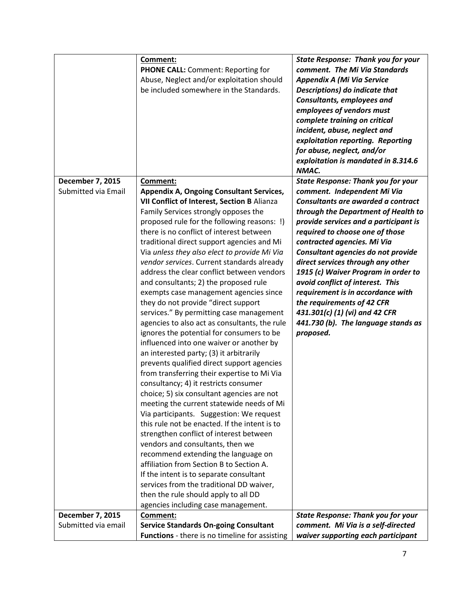|                     | Comment:                                        | <b>State Response: Thank you for your</b> |
|---------------------|-------------------------------------------------|-------------------------------------------|
|                     | <b>PHONE CALL:</b> Comment: Reporting for       | comment. The Mi Via Standards             |
|                     | Abuse, Neglect and/or exploitation should       | <b>Appendix A (Mi Via Service</b>         |
|                     | be included somewhere in the Standards.         | Descriptions) do indicate that            |
|                     |                                                 | Consultants, employees and                |
|                     |                                                 | employees of vendors must                 |
|                     |                                                 | complete training on critical             |
|                     |                                                 | incident, abuse, neglect and              |
|                     |                                                 | exploitation reporting. Reporting         |
|                     |                                                 | for abuse, neglect, and/or                |
|                     |                                                 | exploitation is mandated in 8.314.6       |
|                     |                                                 | NMAC.                                     |
| December 7, 2015    | Comment:                                        | <b>State Response: Thank you for your</b> |
| Submitted via Email | <b>Appendix A, Ongoing Consultant Services,</b> | comment. Independent Mi Via               |
|                     | VII Conflict of Interest, Section B Alianza     | Consultants are awarded a contract        |
|                     | Family Services strongly opposes the            | through the Department of Health to       |
|                     | proposed rule for the following reasons: !)     | provide services and a participant is     |
|                     | there is no conflict of interest between        | required to choose one of those           |
|                     | traditional direct support agencies and Mi      | contracted agencies. Mi Via               |
|                     | Via unless they also elect to provide Mi Via    | Consultant agencies do not provide        |
|                     | vendor services. Current standards already      | direct services through any other         |
|                     | address the clear conflict between vendors      | 1915 (c) Waiver Program in order to       |
|                     | and consultants; 2) the proposed rule           | avoid conflict of interest. This          |
|                     | exempts case management agencies since          | requirement is in accordance with         |
|                     | they do not provide "direct support             | the requirements of 42 CFR                |
|                     | services." By permitting case management        | 431.301(c) (1) (vi) and 42 CFR            |
|                     | agencies to also act as consultants, the rule   | 441.730 (b). The language stands as       |
|                     | ignores the potential for consumers to be       | proposed.                                 |
|                     | influenced into one waiver or another by        |                                           |
|                     | an interested party; (3) it arbitrarily         |                                           |
|                     | prevents qualified direct support agencies      |                                           |
|                     | from transferring their expertise to Mi Via     |                                           |
|                     | consultancy; 4) it restricts consumer           |                                           |
|                     | choice; 5) six consultant agencies are not      |                                           |
|                     | meeting the current statewide needs of Mi       |                                           |
|                     | Via participants. Suggestion: We request        |                                           |
|                     | this rule not be enacted. If the intent is to   |                                           |
|                     | strengthen conflict of interest between         |                                           |
|                     | vendors and consultants, then we                |                                           |
|                     | recommend extending the language on             |                                           |
|                     | affiliation from Section B to Section A.        |                                           |
|                     | If the intent is to separate consultant         |                                           |
|                     | services from the traditional DD waiver,        |                                           |
|                     | then the rule should apply to all DD            |                                           |
|                     | agencies including case management.             |                                           |
| December 7, 2015    | Comment:                                        | <b>State Response: Thank you for your</b> |
| Submitted via email | <b>Service Standards On-going Consultant</b>    | comment. Mi Via is a self-directed        |
|                     | Functions - there is no timeline for assisting  | waiver supporting each participant        |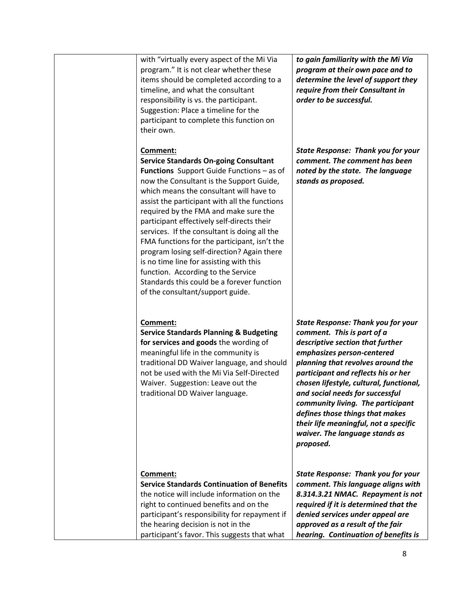| with "virtually every aspect of the Mi Via<br>program." It is not clear whether these<br>items should be completed according to a<br>timeline, and what the consultant<br>responsibility is vs. the participant.<br>Suggestion: Place a timeline for the<br>participant to complete this function on<br>their own.                                                                                                                                                                                                                                                                                                                                           | to gain familiarity with the Mi Via<br>program at their own pace and to<br>determine the level of support they<br>require from their Consultant in<br>order to be successful.                                                                                                                                                                                                                                                                                       |
|--------------------------------------------------------------------------------------------------------------------------------------------------------------------------------------------------------------------------------------------------------------------------------------------------------------------------------------------------------------------------------------------------------------------------------------------------------------------------------------------------------------------------------------------------------------------------------------------------------------------------------------------------------------|---------------------------------------------------------------------------------------------------------------------------------------------------------------------------------------------------------------------------------------------------------------------------------------------------------------------------------------------------------------------------------------------------------------------------------------------------------------------|
| Comment:<br><b>Service Standards On-going Consultant</b><br><b>Functions</b> Support Guide Functions - as of<br>now the Consultant is the Support Guide,<br>which means the consultant will have to<br>assist the participant with all the functions<br>required by the FMA and make sure the<br>participant effectively self-directs their<br>services. If the consultant is doing all the<br>FMA functions for the participant, isn't the<br>program losing self-direction? Again there<br>is no time line for assisting with this<br>function. According to the Service<br>Standards this could be a forever function<br>of the consultant/support guide. | <b>State Response: Thank you for your</b><br>comment. The comment has been<br>noted by the state. The language<br>stands as proposed.                                                                                                                                                                                                                                                                                                                               |
| Comment:<br><b>Service Standards Planning &amp; Budgeting</b><br>for services and goods the wording of<br>meaningful life in the community is<br>traditional DD Waiver language, and should<br>not be used with the Mi Via Self-Directed<br>Waiver. Suggestion: Leave out the<br>traditional DD Waiver language.                                                                                                                                                                                                                                                                                                                                             | <b>State Response: Thank you for your</b><br>comment. This is part of a<br>descriptive section that further<br>emphasizes person-centered<br>planning that revolves around the<br>participant and reflects his or her<br>chosen lifestyle, cultural, functional,<br>and social needs for successful<br>community living. The participant<br>defines those things that makes<br>their life meaningful, not a specific<br>waiver. The language stands as<br>proposed. |
| Comment:<br><b>Service Standards Continuation of Benefits</b><br>the notice will include information on the<br>right to continued benefits and on the<br>participant's responsibility for repayment if<br>the hearing decision is not in the<br>participant's favor. This suggests that what                                                                                                                                                                                                                                                                                                                                                                 | <b>State Response: Thank you for your</b><br>comment. This language aligns with<br>8.314.3.21 NMAC. Repayment is not<br>required if it is determined that the<br>denied services under appeal are<br>approved as a result of the fair<br>hearing. Continuation of benefits is                                                                                                                                                                                       |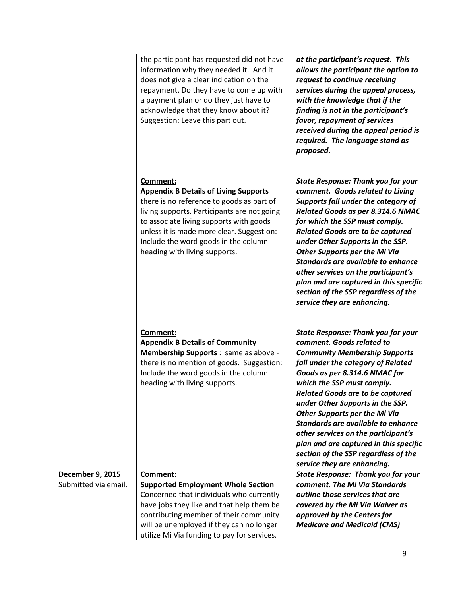|                         | the participant has requested did not have<br>information why they needed it. And it<br>does not give a clear indication on the<br>repayment. Do they have to come up with<br>a payment plan or do they just have to<br>acknowledge that they know about it?<br>Suggestion: Leave this part out.                      | at the participant's request. This<br>allows the participant the option to<br>request to continue receiving<br>services during the appeal process,<br>with the knowledge that if the<br>finding is not in the participant's<br>favor, repayment of services<br>received during the appeal period is<br>required. The language stand as<br>proposed.                                                                                                                                                                                      |
|-------------------------|-----------------------------------------------------------------------------------------------------------------------------------------------------------------------------------------------------------------------------------------------------------------------------------------------------------------------|------------------------------------------------------------------------------------------------------------------------------------------------------------------------------------------------------------------------------------------------------------------------------------------------------------------------------------------------------------------------------------------------------------------------------------------------------------------------------------------------------------------------------------------|
|                         | Comment:<br><b>Appendix B Details of Living Supports</b><br>there is no reference to goods as part of<br>living supports. Participants are not going<br>to associate living supports with goods<br>unless it is made more clear. Suggestion:<br>Include the word goods in the column<br>heading with living supports. | <b>State Response: Thank you for your</b><br>comment. Goods related to Living<br>Supports fall under the category of<br>Related Goods as per 8.314.6 NMAC<br>for which the SSP must comply.<br><b>Related Goods are to be captured</b><br>under Other Supports in the SSP.<br><b>Other Supports per the Mi Via</b><br>Standards are available to enhance<br>other services on the participant's<br>plan and are captured in this specific<br>section of the SSP regardless of the<br>service they are enhancing.                         |
|                         | Comment:<br><b>Appendix B Details of Community</b><br>Membership Supports : same as above -<br>there is no mention of goods. Suggestion:<br>Include the word goods in the column<br>heading with living supports.                                                                                                     | <b>State Response: Thank you for your</b><br>comment. Goods related to<br><b>Community Membership Supports</b><br>fall under the category of Related<br>Goods as per 8.314.6 NMAC for<br>which the SSP must comply.<br><b>Related Goods are to be captured</b><br>under Other Supports in the SSP.<br><b>Other Supports per the Mi Via</b><br>Standards are available to enhance<br>other services on the participant's<br>plan and are captured in this specific<br>section of the SSP regardless of the<br>service they are enhancing. |
| <b>December 9, 2015</b> | Comment:                                                                                                                                                                                                                                                                                                              | <b>State Response: Thank you for your</b>                                                                                                                                                                                                                                                                                                                                                                                                                                                                                                |
| Submitted via email.    | <b>Supported Employment Whole Section</b>                                                                                                                                                                                                                                                                             | comment. The Mi Via Standards                                                                                                                                                                                                                                                                                                                                                                                                                                                                                                            |
|                         | Concerned that individuals who currently                                                                                                                                                                                                                                                                              | outline those services that are                                                                                                                                                                                                                                                                                                                                                                                                                                                                                                          |
|                         | have jobs they like and that help them be                                                                                                                                                                                                                                                                             | covered by the Mi Via Waiver as                                                                                                                                                                                                                                                                                                                                                                                                                                                                                                          |
|                         | contributing member of their community                                                                                                                                                                                                                                                                                | approved by the Centers for                                                                                                                                                                                                                                                                                                                                                                                                                                                                                                              |
|                         | will be unemployed if they can no longer<br>utilize Mi Via funding to pay for services.                                                                                                                                                                                                                               | <b>Medicare and Medicaid (CMS)</b>                                                                                                                                                                                                                                                                                                                                                                                                                                                                                                       |
|                         |                                                                                                                                                                                                                                                                                                                       |                                                                                                                                                                                                                                                                                                                                                                                                                                                                                                                                          |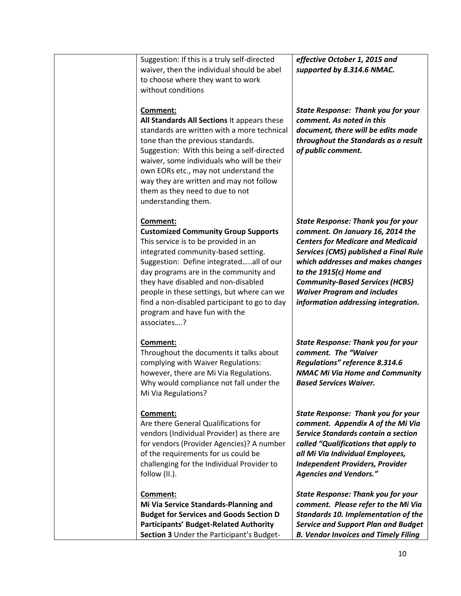|  | Suggestion: If this is a truly self-directed<br>waiver, then the individual should be abel<br>to choose where they want to work<br>without conditions                                                                                                                                                                                                                                                          | effective October 1, 2015 and<br>supported by 8.314.6 NMAC.                                                                                                                                                                                                                                                                                                      |
|--|----------------------------------------------------------------------------------------------------------------------------------------------------------------------------------------------------------------------------------------------------------------------------------------------------------------------------------------------------------------------------------------------------------------|------------------------------------------------------------------------------------------------------------------------------------------------------------------------------------------------------------------------------------------------------------------------------------------------------------------------------------------------------------------|
|  | Comment:<br>All Standards All Sections It appears these<br>standards are written with a more technical<br>tone than the previous standards.<br>Suggestion: With this being a self-directed<br>waiver, some individuals who will be their<br>own EORs etc., may not understand the<br>way they are written and may not follow<br>them as they need to due to not<br>understanding them.                         | <b>State Response: Thank you for your</b><br>comment. As noted in this<br>document, there will be edits made<br>throughout the Standards as a result<br>of public comment.                                                                                                                                                                                       |
|  | Comment:<br><b>Customized Community Group Supports</b><br>This service is to be provided in an<br>integrated community-based setting.<br>Suggestion: Define integratedall of our<br>day programs are in the community and<br>they have disabled and non-disabled<br>people in these settings, but where can we<br>find a non-disabled participant to go to day<br>program and have fun with the<br>associates? | <b>State Response: Thank you for your</b><br>comment. On January 16, 2014 the<br><b>Centers for Medicare and Medicaid</b><br><b>Services (CMS) published a Final Rule</b><br>which addresses and makes changes<br>to the 1915(c) Home and<br><b>Community-Based Services (HCBS)</b><br><b>Waiver Program and includes</b><br>information addressing integration. |
|  | Comment:<br>Throughout the documents it talks about<br>complying with Waiver Regulations:<br>however, there are Mi Via Regulations.<br>Why would compliance not fall under the<br>Mi Via Regulations?                                                                                                                                                                                                          | <b>State Response: Thank you for your</b><br>comment. The "Waiver<br>Regulations" reference 8.314.6<br><b>NMAC Mi Via Home and Community</b><br><b>Based Services Waiver.</b>                                                                                                                                                                                    |
|  | Comment:<br>Are there General Qualifications for<br>vendors (Individual Provider) as there are<br>for vendors (Provider Agencies)? A number<br>of the requirements for us could be<br>challenging for the Individual Provider to<br>follow (II.).                                                                                                                                                              | <b>State Response: Thank you for your</b><br>comment. Appendix A of the Mi Via<br>Service Standards contain a section<br>called "Qualifications that apply to<br>all Mi Via Individual Employees,<br><b>Independent Providers, Provider</b><br><b>Agencies and Vendors."</b>                                                                                     |
|  | Comment:<br>Mi Via Service Standards-Planning and<br><b>Budget for Services and Goods Section D</b><br><b>Participants' Budget-Related Authority</b><br>Section 3 Under the Participant's Budget-                                                                                                                                                                                                              | <b>State Response: Thank you for your</b><br>comment. Please refer to the Mi Via<br><b>Standards 10. Implementation of the</b><br><b>Service and Support Plan and Budget</b><br><b>B. Vendor Invoices and Timely Filing</b>                                                                                                                                      |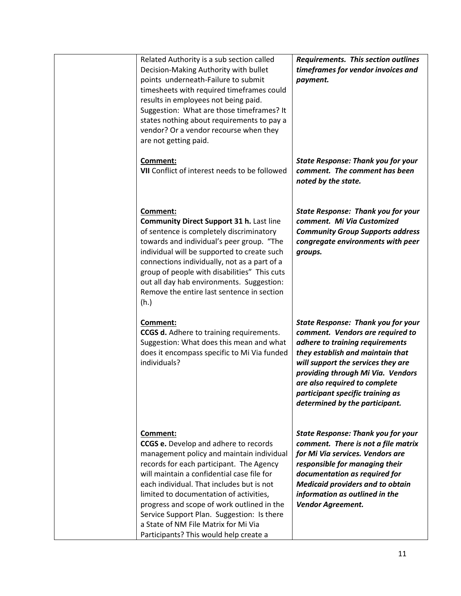| Related Authority is a sub section called<br>Decision-Making Authority with bullet<br>points underneath-Failure to submit<br>timesheets with required timeframes could<br>results in employees not being paid.<br>Suggestion: What are those timeframes? It<br>states nothing about requirements to pay a<br>vendor? Or a vendor recourse when they<br>are not getting paid.                                                                                          | Requirements. This section outlines<br>timeframes for vendor invoices and<br>payment.                                                                                                                                                                                                                                                  |
|-----------------------------------------------------------------------------------------------------------------------------------------------------------------------------------------------------------------------------------------------------------------------------------------------------------------------------------------------------------------------------------------------------------------------------------------------------------------------|----------------------------------------------------------------------------------------------------------------------------------------------------------------------------------------------------------------------------------------------------------------------------------------------------------------------------------------|
| <b>Comment:</b><br>VII Conflict of interest needs to be followed                                                                                                                                                                                                                                                                                                                                                                                                      | <b>State Response: Thank you for your</b><br>comment. The comment has been<br>noted by the state.                                                                                                                                                                                                                                      |
| Comment:<br><b>Community Direct Support 31 h. Last line</b><br>of sentence is completely discriminatory<br>towards and individual's peer group. "The<br>individual will be supported to create such<br>connections individually, not as a part of a<br>group of people with disabilities" This cuts<br>out all day hab environments. Suggestion:<br>Remove the entire last sentence in section<br>(h.)                                                                | <b>State Response: Thank you for your</b><br>comment. Mi Via Customized<br><b>Community Group Supports address</b><br>congregate environments with peer<br>groups.                                                                                                                                                                     |
| <b>Comment:</b><br><b>CCGS d.</b> Adhere to training requirements.<br>Suggestion: What does this mean and what<br>does it encompass specific to Mi Via funded<br>individuals?                                                                                                                                                                                                                                                                                         | <b>State Response: Thank you for your</b><br>comment. Vendors are required to<br>adhere to training requirements<br>they establish and maintain that<br>will support the services they are<br>providing through Mi Via. Vendors<br>are also required to complete<br>participant specific training as<br>determined by the participant. |
| Comment:<br><b>CCGS e.</b> Develop and adhere to records<br>management policy and maintain individual<br>records for each participant. The Agency<br>will maintain a confidential case file for<br>each individual. That includes but is not<br>limited to documentation of activities,<br>progress and scope of work outlined in the<br>Service Support Plan. Suggestion: Is there<br>a State of NM File Matrix for Mi Via<br>Participants? This would help create a | <b>State Response: Thank you for your</b><br>comment. There is not a file matrix<br>for Mi Via services. Vendors are<br>responsible for managing their<br>documentation as required for<br><b>Medicaid providers and to obtain</b><br>information as outlined in the<br>Vendor Agreement.                                              |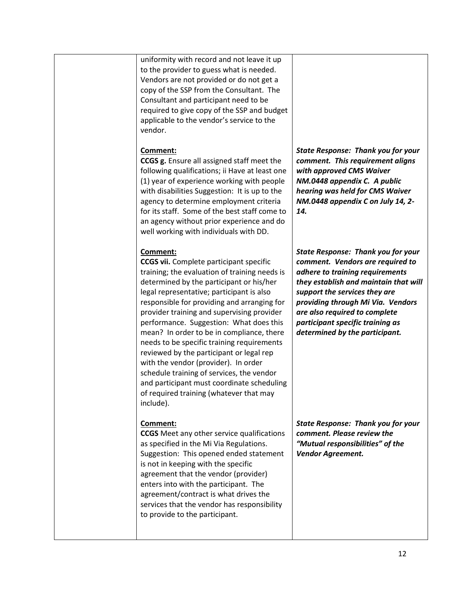|  | uniformity with record and not leave it up<br>to the provider to guess what is needed.<br>Vendors are not provided or do not get a<br>copy of the SSP from the Consultant. The<br>Consultant and participant need to be<br>required to give copy of the SSP and budget<br>applicable to the vendor's service to the<br>vendor.                                                                                                                                                                                                                                                                                                                                                 |                                                                                                                                                                                                                                                                                                                                        |
|--|--------------------------------------------------------------------------------------------------------------------------------------------------------------------------------------------------------------------------------------------------------------------------------------------------------------------------------------------------------------------------------------------------------------------------------------------------------------------------------------------------------------------------------------------------------------------------------------------------------------------------------------------------------------------------------|----------------------------------------------------------------------------------------------------------------------------------------------------------------------------------------------------------------------------------------------------------------------------------------------------------------------------------------|
|  | Comment:<br><b>CCGS g.</b> Ensure all assigned staff meet the<br>following qualifications; ii Have at least one<br>(1) year of experience working with people<br>with disabilities Suggestion: It is up to the<br>agency to determine employment criteria<br>for its staff. Some of the best staff come to<br>an agency without prior experience and do<br>well working with individuals with DD.                                                                                                                                                                                                                                                                              | <b>State Response: Thank you for your</b><br>comment. This requirement aligns<br>with approved CMS Waiver<br>NM.0448 appendix C. A public<br>hearing was held for CMS Waiver<br>NM.0448 appendix C on July 14, 2-<br>14.                                                                                                               |
|  | Comment:<br><b>CCGS vii.</b> Complete participant specific<br>training; the evaluation of training needs is<br>determined by the participant or his/her<br>legal representative; participant is also<br>responsible for providing and arranging for<br>provider training and supervising provider<br>performance. Suggestion: What does this<br>mean? In order to be in compliance, there<br>needs to be specific training requirements<br>reviewed by the participant or legal rep<br>with the vendor (provider). In order<br>schedule training of services, the vendor<br>and participant must coordinate scheduling<br>of required training (whatever that may<br>include). | <b>State Response: Thank you for your</b><br>comment. Vendors are required to<br>adhere to training requirements<br>they establish and maintain that will<br>support the services they are<br>providing through Mi Via. Vendors<br>are also required to complete<br>participant specific training as<br>determined by the participant. |
|  | Comment:<br><b>CCGS</b> Meet any other service qualifications<br>as specified in the Mi Via Regulations.<br>Suggestion: This opened ended statement<br>is not in keeping with the specific<br>agreement that the vendor (provider)<br>enters into with the participant. The<br>agreement/contract is what drives the<br>services that the vendor has responsibility<br>to provide to the participant.                                                                                                                                                                                                                                                                          | <b>State Response: Thank you for your</b><br>comment. Please review the<br>"Mutual responsibilities" of the<br>Vendor Agreement.                                                                                                                                                                                                       |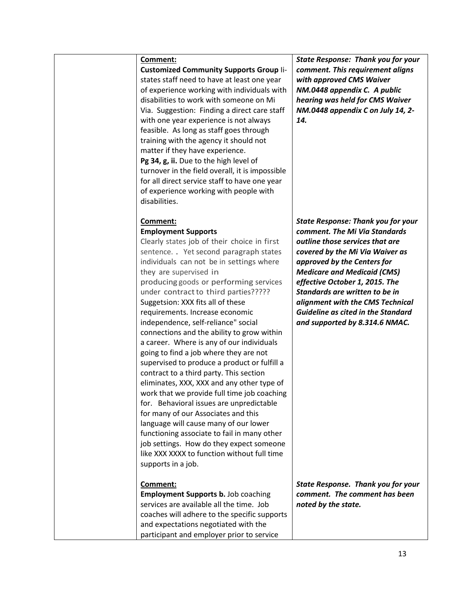**Customized Community Supports Group** Iistates staff need to have at least one year of experience working with individuals with disabilities to work with someone on Mi Via. Suggestion: Finding a direct care staff with one year experience is not always feasible. As long as staff goes through training with the agency it should not matter if they have experience. Pg 34, g, ii. Due to the high level of turnover in the field overall, it is impossible for all direct service staff to have one year of experience working with people with disabilities.

## **Comment: Employment Supports**

Clearly states job of their choice in first sentence. . Yet second paragraph states individuals can not be in settings where they are supervised in producing goods or performing services under contract to third parties????? Suggetsion: XXX fits all of these requirements. Increase economic independence, self-reliance" social connections and the ability to grow within a career. Where is any of our individuals going to find a job where they are not supervised to produce a product or fulfill a contract to a third party. This section eliminates, XXX, XXX and any other type of work that we provide full time job coaching for. Behavioral issues are unpredictable for many of our Associates and this language will cause many of our lower functioning associate to fail in many other job settings. How do they expect someone like XXX XXXX to function without full time supports in a job.

## **Comment:**

**Employment Supports b.** Job coaching services are available all the time. Job coaches will adhere to the specific supports and expectations negotiated with the participant and employer prior to service

*State Response: Thank you for your comment. This requirement aligns with approved CMS Waiver NM.0448 appendix C. A public hearing was held for CMS Waiver NM.0448 appendix C on July 14, 2- 14.*

*State Response: Thank you for your comment. The Mi Via Standards outline those services that are covered by the Mi Via Waiver as approved by the Centers for Medicare and Medicaid (CMS) effective October 1, 2015. The Standards are written to be in alignment with the CMS Technical Guideline as cited in the Standard and supported by 8.314.6 NMAC.* 

*State Response. Thank you for your comment. The comment has been noted by the state.*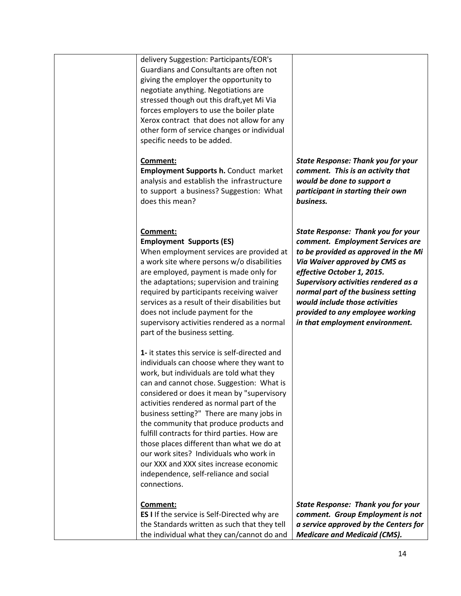| Comment:<br>ES I If the service is Self-Directed why are<br>the Standards written as such that they tell<br>the individual what they can/cannot do and                                                                                                                                                                                                                                                                                                                                                                                                                                                               | <b>State Response: Thank you for your</b><br>comment. Group Employment is not<br>a service approved by the Centers for<br><b>Medicare and Medicaid (CMS).</b>                                                                                                                                                                                                                |
|----------------------------------------------------------------------------------------------------------------------------------------------------------------------------------------------------------------------------------------------------------------------------------------------------------------------------------------------------------------------------------------------------------------------------------------------------------------------------------------------------------------------------------------------------------------------------------------------------------------------|------------------------------------------------------------------------------------------------------------------------------------------------------------------------------------------------------------------------------------------------------------------------------------------------------------------------------------------------------------------------------|
| 1- it states this service is self-directed and<br>individuals can choose where they want to<br>work, but individuals are told what they<br>can and cannot chose. Suggestion: What is<br>considered or does it mean by "supervisory<br>activities rendered as normal part of the<br>business setting?" There are many jobs in<br>the community that produce products and<br>fulfill contracts for third parties. How are<br>those places different than what we do at<br>our work sites? Individuals who work in<br>our XXX and XXX sites increase economic<br>independence, self-reliance and social<br>connections. |                                                                                                                                                                                                                                                                                                                                                                              |
| Comment:<br><b>Employment Supports (ES)</b><br>When employment services are provided at<br>a work site where persons w/o disabilities<br>are employed, payment is made only for<br>the adaptations; supervision and training<br>required by participants receiving waiver<br>services as a result of their disabilities but<br>does not include payment for the<br>supervisory activities rendered as a normal<br>part of the business setting.                                                                                                                                                                      | <b>State Response: Thank you for your</b><br>comment. Employment Services are<br>to be provided as approved in the Mi<br>Via Waiver approved by CMS as<br>effective October 1, 2015.<br>Supervisory activities rendered as a<br>normal part of the business setting<br>would include those activities<br>provided to any employee working<br>in that employment environment. |
| Comment:<br><b>Employment Supports h. Conduct market</b><br>analysis and establish the infrastructure<br>to support a business? Suggestion: What<br>does this mean?                                                                                                                                                                                                                                                                                                                                                                                                                                                  | <b>State Response: Thank you for your</b><br>comment. This is an activity that<br>would be done to support a<br>participant in starting their own<br>business.                                                                                                                                                                                                               |
| delivery Suggestion: Participants/EOR's<br>Guardians and Consultants are often not<br>giving the employer the opportunity to<br>negotiate anything. Negotiations are<br>stressed though out this draft, yet Mi Via<br>forces employers to use the boiler plate<br>Xerox contract that does not allow for any<br>other form of service changes or individual<br>specific needs to be added.                                                                                                                                                                                                                           |                                                                                                                                                                                                                                                                                                                                                                              |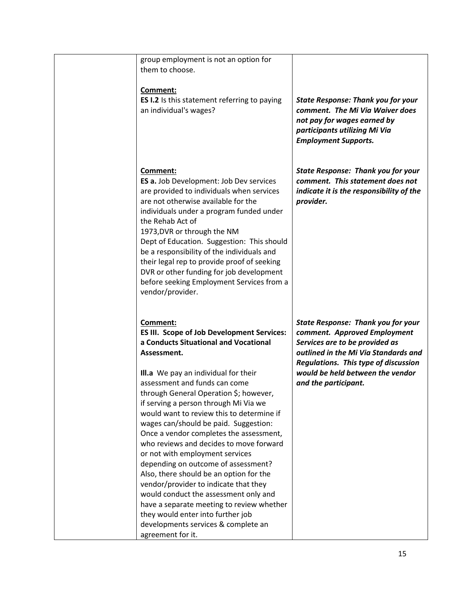| group employment is not an option for<br>them to choose.                                                                                                                                                                                                                                                                                                                                                                                                                                                                                                                                                                                                                                                                                                                                                           |                                                                                                                                                                                                                                                                |
|--------------------------------------------------------------------------------------------------------------------------------------------------------------------------------------------------------------------------------------------------------------------------------------------------------------------------------------------------------------------------------------------------------------------------------------------------------------------------------------------------------------------------------------------------------------------------------------------------------------------------------------------------------------------------------------------------------------------------------------------------------------------------------------------------------------------|----------------------------------------------------------------------------------------------------------------------------------------------------------------------------------------------------------------------------------------------------------------|
| Comment:<br>ES I.2 Is this statement referring to paying<br>an individual's wages?                                                                                                                                                                                                                                                                                                                                                                                                                                                                                                                                                                                                                                                                                                                                 | <b>State Response: Thank you for your</b><br>comment. The Mi Via Waiver does<br>not pay for wages earned by<br>participants utilizing Mi Via<br><b>Employment Supports.</b>                                                                                    |
| Comment:<br>ES a. Job Development: Job Dev services<br>are provided to individuals when services<br>are not otherwise available for the<br>individuals under a program funded under<br>the Rehab Act of<br>1973, DVR or through the NM<br>Dept of Education. Suggestion: This should<br>be a responsibility of the individuals and<br>their legal rep to provide proof of seeking<br>DVR or other funding for job development<br>before seeking Employment Services from a<br>vendor/provider.                                                                                                                                                                                                                                                                                                                     | <b>State Response: Thank you for your</b><br>comment. This statement does not<br>indicate it is the responsibility of the<br>provider.                                                                                                                         |
| Comment:<br><b>ES III. Scope of Job Development Services:</b><br>a Conducts Situational and Vocational<br>Assessment.<br>III.a We pay an individual for their<br>assessment and funds can come<br>through General Operation \$; however,<br>if serving a person through Mi Via we<br>would want to review this to determine if<br>wages can/should be paid. Suggestion:<br>Once a vendor completes the assessment,<br>who reviews and decides to move forward<br>or not with employment services<br>depending on outcome of assessment?<br>Also, there should be an option for the<br>vendor/provider to indicate that they<br>would conduct the assessment only and<br>have a separate meeting to review whether<br>they would enter into further job<br>developments services & complete an<br>agreement for it. | <b>State Response: Thank you for your</b><br>comment. Approved Employment<br>Services are to be provided as<br>outlined in the Mi Via Standards and<br><b>Regulations. This type of discussion</b><br>would be held between the vendor<br>and the participant. |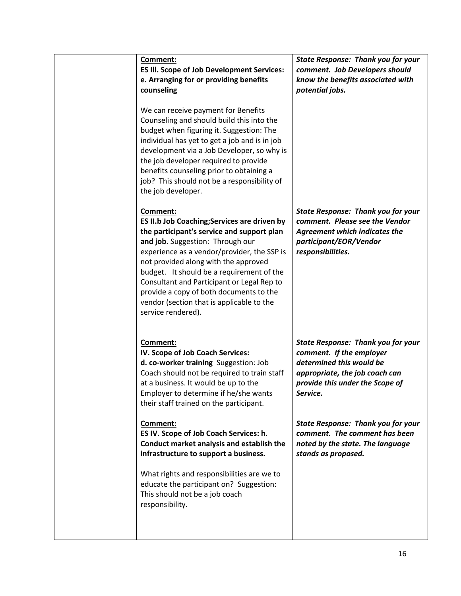| Comment:<br><b>ES III. Scope of Job Development Services:</b><br>e. Arranging for or providing benefits<br>counseling                                                                                                                                                                                                                                                                                                                      | <b>State Response: Thank you for your</b><br>comment. Job Developers should<br>know the benefits associated with<br>potential jobs.                                                |
|--------------------------------------------------------------------------------------------------------------------------------------------------------------------------------------------------------------------------------------------------------------------------------------------------------------------------------------------------------------------------------------------------------------------------------------------|------------------------------------------------------------------------------------------------------------------------------------------------------------------------------------|
| We can receive payment for Benefits<br>Counseling and should build this into the<br>budget when figuring it. Suggestion: The<br>individual has yet to get a job and is in job<br>development via a Job Developer, so why is<br>the job developer required to provide<br>benefits counseling prior to obtaining a<br>job? This should not be a responsibility of<br>the job developer.                                                      |                                                                                                                                                                                    |
| Comment:<br>ES II.b Job Coaching; Services are driven by<br>the participant's service and support plan<br>and job. Suggestion: Through our<br>experience as a vendor/provider, the SSP is<br>not provided along with the approved<br>budget. It should be a requirement of the<br>Consultant and Participant or Legal Rep to<br>provide a copy of both documents to the<br>vendor (section that is applicable to the<br>service rendered). | <b>State Response: Thank you for your</b><br>comment. Please see the Vendor<br><b>Agreement which indicates the</b><br>participant/EOR/Vendor<br>responsibilities.                 |
| Comment:<br>IV. Scope of Job Coach Services:<br>d. co-worker training Suggestion: Job<br>Coach should not be required to train staff<br>at a business. It would be up to the<br>Employer to determine if he/she wants<br>their staff trained on the participant.                                                                                                                                                                           | <b>State Response: Thank you for your</b><br>comment. If the employer<br>determined this would be<br>appropriate, the job coach can<br>provide this under the Scope of<br>Service. |
| Comment:<br>ES IV. Scope of Job Coach Services: h.<br>Conduct market analysis and establish the<br>infrastructure to support a business.                                                                                                                                                                                                                                                                                                   | <b>State Response: Thank you for your</b><br>comment. The comment has been<br>noted by the state. The language<br>stands as proposed.                                              |
| What rights and responsibilities are we to<br>educate the participant on? Suggestion:<br>This should not be a job coach<br>responsibility.                                                                                                                                                                                                                                                                                                 |                                                                                                                                                                                    |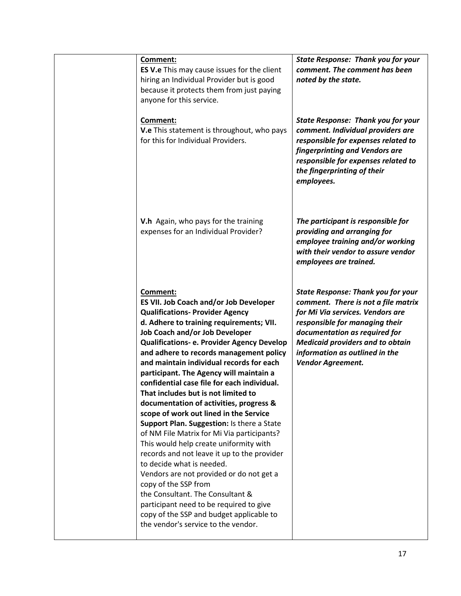| Comment:<br><b>ES V.e</b> This may cause issues for the client<br>hiring an Individual Provider but is good<br>because it protects them from just paying<br>anyone for this service.                                                                                                                                                                                                                                                                                                                                                                                                                                                                                                                                                                                                                                                                                                                                                                                                          | <b>State Response: Thank you for your</b><br>comment. The comment has been<br>noted by the state.                                                                                                                                                                                                |
|-----------------------------------------------------------------------------------------------------------------------------------------------------------------------------------------------------------------------------------------------------------------------------------------------------------------------------------------------------------------------------------------------------------------------------------------------------------------------------------------------------------------------------------------------------------------------------------------------------------------------------------------------------------------------------------------------------------------------------------------------------------------------------------------------------------------------------------------------------------------------------------------------------------------------------------------------------------------------------------------------|--------------------------------------------------------------------------------------------------------------------------------------------------------------------------------------------------------------------------------------------------------------------------------------------------|
| Comment:<br>V.e This statement is throughout, who pays<br>for this for Individual Providers.                                                                                                                                                                                                                                                                                                                                                                                                                                                                                                                                                                                                                                                                                                                                                                                                                                                                                                  | <b>State Response: Thank you for your</b><br>comment. Individual providers are<br>responsible for expenses related to<br>fingerprinting and Vendors are<br>responsible for expenses related to<br>the fingerprinting of their<br>employees.                                                      |
| V.h Again, who pays for the training<br>expenses for an Individual Provider?                                                                                                                                                                                                                                                                                                                                                                                                                                                                                                                                                                                                                                                                                                                                                                                                                                                                                                                  | The participant is responsible for<br>providing and arranging for<br>employee training and/or working<br>with their vendor to assure vendor<br>employees are trained.                                                                                                                            |
| Comment:<br>ES VII. Job Coach and/or Job Developer<br><b>Qualifications- Provider Agency</b><br>d. Adhere to training requirements; VII.<br>Job Coach and/or Job Developer<br>Qualifications- e. Provider Agency Develop<br>and adhere to records management policy<br>and maintain individual records for each<br>participant. The Agency will maintain a<br>confidential case file for each individual.<br>That includes but is not limited to<br>documentation of activities, progress &<br>scope of work out lined in the Service<br>Support Plan. Suggestion: Is there a State<br>of NM File Matrix for Mi Via participants?<br>This would help create uniformity with<br>records and not leave it up to the provider<br>to decide what is needed.<br>Vendors are not provided or do not get a<br>copy of the SSP from<br>the Consultant. The Consultant &<br>participant need to be required to give<br>copy of the SSP and budget applicable to<br>the vendor's service to the vendor. | <b>State Response: Thank you for your</b><br>comment. There is not a file matrix<br>for Mi Via services. Vendors are<br>responsible for managing their<br>documentation as required for<br><b>Medicaid providers and to obtain</b><br>information as outlined in the<br><b>Vendor Agreement.</b> |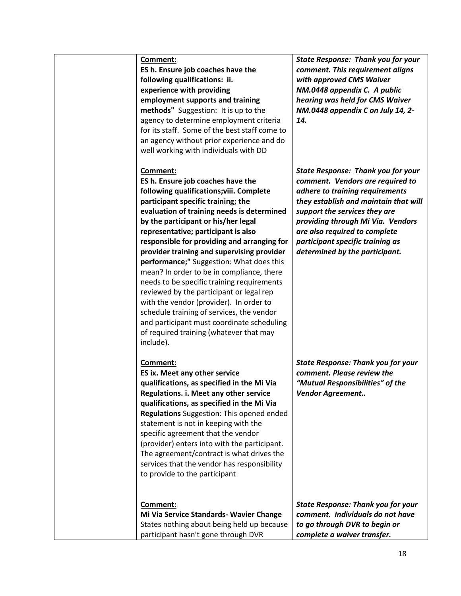**ES h. Ensure job coaches have the following qualifications: ii. experience with providing employment supports and training methods"** Suggestion:It is up to the agency to determine employment criteria for its staff. Some of the best staff come to an agency without prior experience and do well working with individuals with DD

## **Comment:**

**ES h. Ensure job coaches have the following qualifications;viii. Complete participant specific training; the evaluation of training needs is determined by the participant or his/her legal representative; participant is also responsible for providing and arranging for provider training and supervising provider performance;"** Suggestion: What does this mean? In order to be in compliance, there needs to be specific training requirements reviewed by the participant or legal rep with the vendor (provider). In order to schedule training of services, the vendor and participant must coordinate scheduling of required training (whatever that may include).

## **Comment:**

**ES ix. Meet any other service qualifications, as specified in the Mi Via Regulations. i. Meet any other service qualifications, as specified in the Mi Via Regulations** Suggestion: This opened ended statement is not in keeping with the specific agreement that the vendor (provider) enters into with the participant. The agreement/contract is what drives the services that the vendor has responsibility to provide to the participant

**Comment: Mi Via Service Standards- Wavier Change** States nothing about being held up because participant hasn't gone through DVR

*State Response: Thank you for your comment. This requirement aligns with approved CMS Waiver NM.0448 appendix C. A public hearing was held for CMS Waiver NM.0448 appendix C on July 14, 2- 14.*

*State Response: Thank you for your comment. Vendors are required to adhere to training requirements they establish and maintain that will support the services they are providing through Mi Via. Vendors are also required to complete participant specific training as determined by the participant.* 

*State Response: Thank you for your comment. Please review the "Mutual Responsibilities" of the Vendor Agreement..* 

*State Response: Thank you for your comment. Individuals do not have to go through DVR to begin or complete a waiver transfer.*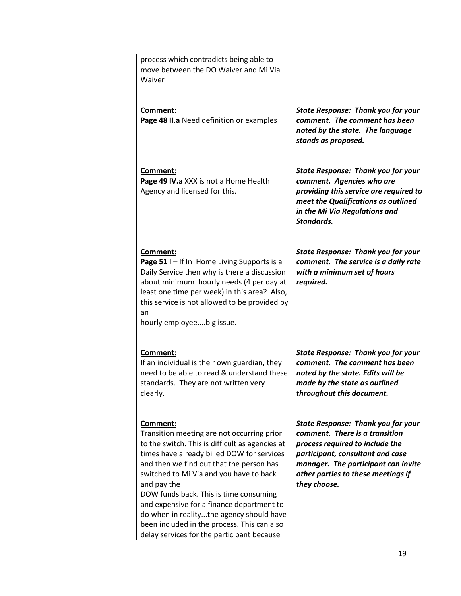| process which contradicts being able to<br>move between the DO Waiver and Mi Via<br>Waiver                                                                                                                                                                                                                                                                                                                                                                                                    |                                                                                                                                                                                                                                                 |
|-----------------------------------------------------------------------------------------------------------------------------------------------------------------------------------------------------------------------------------------------------------------------------------------------------------------------------------------------------------------------------------------------------------------------------------------------------------------------------------------------|-------------------------------------------------------------------------------------------------------------------------------------------------------------------------------------------------------------------------------------------------|
| Comment:<br>Page 48 II.a Need definition or examples                                                                                                                                                                                                                                                                                                                                                                                                                                          | <b>State Response: Thank you for your</b><br>comment. The comment has been<br>noted by the state. The language<br>stands as proposed.                                                                                                           |
| Comment:<br>Page 49 IV.a XXX is not a Home Health<br>Agency and licensed for this.                                                                                                                                                                                                                                                                                                                                                                                                            | <b>State Response: Thank you for your</b><br>comment. Agencies who are<br>providing this service are required to<br>meet the Qualifications as outlined<br>in the Mi Via Regulations and<br>Standards.                                          |
| Comment:<br>Page 51 I - If In Home Living Supports is a<br>Daily Service then why is there a discussion<br>about minimum hourly needs (4 per day at<br>least one time per week) in this area? Also,<br>this service is not allowed to be provided by<br>an<br>hourly employeebig issue.                                                                                                                                                                                                       | <b>State Response: Thank you for your</b><br>comment. The service is a daily rate<br>with a minimum set of hours<br>required.                                                                                                                   |
| Comment:<br>If an individual is their own guardian, they<br>need to be able to read & understand these<br>standards. They are not written very<br>clearly.                                                                                                                                                                                                                                                                                                                                    | <b>State Response: Thank you for your</b><br>comment. The comment has been<br>noted by the state. Edits will be<br>made by the state as outlined<br>throughout this document.                                                                   |
| Comment:<br>Transition meeting are not occurring prior<br>to the switch. This is difficult as agencies at<br>times have already billed DOW for services<br>and then we find out that the person has<br>switched to Mi Via and you have to back<br>and pay the<br>DOW funds back. This is time consuming<br>and expensive for a finance department to<br>do when in realitythe agency should have<br>been included in the process. This can also<br>delay services for the participant because | <b>State Response: Thank you for your</b><br>comment. There is a transition<br>process required to include the<br>participant, consultant and case<br>manager. The participant can invite<br>other parties to these meetings if<br>they choose. |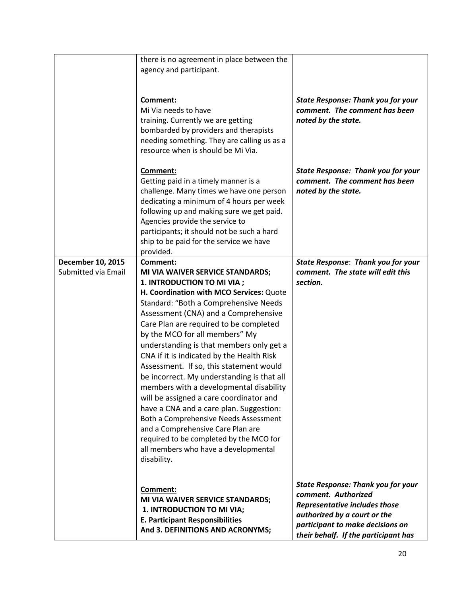|                     | there is no agreement in place between the  |                                                                          |
|---------------------|---------------------------------------------|--------------------------------------------------------------------------|
|                     | agency and participant.                     |                                                                          |
|                     |                                             |                                                                          |
|                     |                                             |                                                                          |
|                     | Comment:                                    | <b>State Response: Thank you for your</b>                                |
|                     | Mi Via needs to have                        | comment. The comment has been                                            |
|                     |                                             |                                                                          |
|                     | training. Currently we are getting          | noted by the state.                                                      |
|                     | bombarded by providers and therapists       |                                                                          |
|                     | needing something. They are calling us as a |                                                                          |
|                     | resource when is should be Mi Via.          |                                                                          |
|                     |                                             |                                                                          |
|                     | Comment:                                    | <b>State Response: Thank you for your</b>                                |
|                     | Getting paid in a timely manner is a        | comment. The comment has been                                            |
|                     | challenge. Many times we have one person    | noted by the state.                                                      |
|                     | dedicating a minimum of 4 hours per week    |                                                                          |
|                     | following up and making sure we get paid.   |                                                                          |
|                     | Agencies provide the service to             |                                                                          |
|                     | participants; it should not be such a hard  |                                                                          |
|                     | ship to be paid for the service we have     |                                                                          |
|                     |                                             |                                                                          |
|                     | provided.                                   |                                                                          |
| December 10, 2015   | <b>Comment:</b>                             | <b>State Response: Thank you for your</b>                                |
| Submitted via Email | MI VIA WAIVER SERVICE STANDARDS;            | comment. The state will edit this                                        |
|                     | 1. INTRODUCTION TO MI VIA ;                 | section.                                                                 |
|                     | H. Coordination with MCO Services: Quote    |                                                                          |
|                     | Standard: "Both a Comprehensive Needs       |                                                                          |
|                     | Assessment (CNA) and a Comprehensive        |                                                                          |
|                     | Care Plan are required to be completed      |                                                                          |
|                     | by the MCO for all members" My              |                                                                          |
|                     | understanding is that members only get a    |                                                                          |
|                     |                                             |                                                                          |
|                     | CNA if it is indicated by the Health Risk   |                                                                          |
|                     | Assessment. If so, this statement would     |                                                                          |
|                     | be incorrect. My understanding is that all  |                                                                          |
|                     | members with a developmental disability     |                                                                          |
|                     | will be assigned a care coordinator and     |                                                                          |
|                     | have a CNA and a care plan. Suggestion:     |                                                                          |
|                     | Both a Comprehensive Needs Assessment       |                                                                          |
|                     | and a Comprehensive Care Plan are           |                                                                          |
|                     | required to be completed by the MCO for     |                                                                          |
|                     |                                             |                                                                          |
|                     | all members who have a developmental        |                                                                          |
|                     | disability.                                 |                                                                          |
|                     |                                             |                                                                          |
|                     |                                             | <b>State Response: Thank you for your</b>                                |
|                     | Comment:                                    | comment. Authorized                                                      |
|                     |                                             |                                                                          |
|                     | MI VIA WAIVER SERVICE STANDARDS;            |                                                                          |
|                     | 1. INTRODUCTION TO MI VIA;                  | <b>Representative includes those</b>                                     |
|                     | <b>E. Participant Responsibilities</b>      | authorized by a court or the                                             |
|                     | And 3. DEFINITIONS AND ACRONYMS;            | participant to make decisions on<br>their behalf. If the participant has |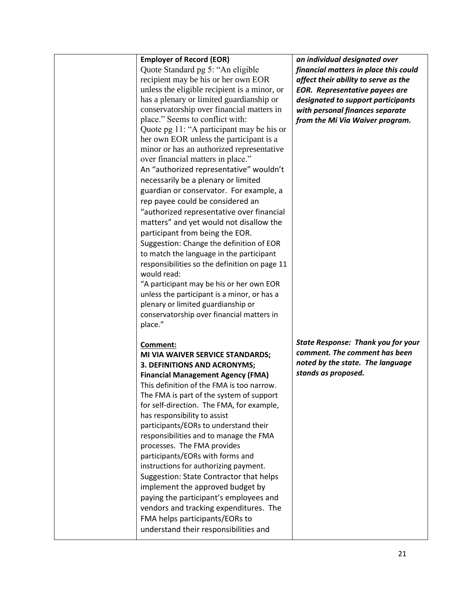| <b>Employer of Record (EOR)</b>                                         | an individual designated over             |
|-------------------------------------------------------------------------|-------------------------------------------|
| Quote Standard pg 5: "An eligible"                                      | financial matters in place this could     |
| recipient may be his or her own EOR                                     | affect their ability to serve as the      |
|                                                                         |                                           |
| unless the eligible recipient is a minor, or                            | <b>EOR.</b> Representative payees are     |
| has a plenary or limited guardianship or                                | designated to support participants        |
| conservatorship over financial matters in                               | with personal finances separate           |
| place." Seems to conflict with:                                         | from the Mi Via Waiver program.           |
| Quote pg 11: "A participant may be his or                               |                                           |
| her own EOR unless the participant is a                                 |                                           |
| minor or has an authorized representative                               |                                           |
| over financial matters in place."                                       |                                           |
| An "authorized representative" wouldn't                                 |                                           |
| necessarily be a plenary or limited                                     |                                           |
| guardian or conservator. For example, a                                 |                                           |
| rep payee could be considered an                                        |                                           |
| "authorized representative over financial                               |                                           |
|                                                                         |                                           |
| matters" and yet would not disallow the                                 |                                           |
| participant from being the EOR.                                         |                                           |
| Suggestion: Change the definition of EOR                                |                                           |
| to match the language in the participant                                |                                           |
| responsibilities so the definition on page 11                           |                                           |
| would read:                                                             |                                           |
| "A participant may be his or her own EOR                                |                                           |
| unless the participant is a minor, or has a                             |                                           |
| plenary or limited guardianship or                                      |                                           |
| conservatorship over financial matters in                               |                                           |
| place."                                                                 |                                           |
|                                                                         |                                           |
| Comment:                                                                | <b>State Response: Thank you for your</b> |
| MI VIA WAIVER SERVICE STANDARDS;                                        | comment. The comment has been             |
| 3. DEFINITIONS AND ACRONYMS;                                            | noted by the state. The language          |
| <b>Financial Management Agency (FMA)</b>                                | stands as proposed.                       |
|                                                                         |                                           |
| This definition of the FMA is too narrow.                               |                                           |
| The FMA is part of the system of support                                |                                           |
| for self-direction. The FMA, for example,                               |                                           |
| has responsibility to assist                                            |                                           |
| participants/EORs to understand their                                   |                                           |
| responsibilities and to manage the FMA                                  |                                           |
| processes. The FMA provides                                             |                                           |
| participants/EORs with forms and                                        |                                           |
| instructions for authorizing payment.                                   |                                           |
| Suggestion: State Contractor that helps                                 |                                           |
| implement the approved budget by                                        |                                           |
| paying the participant's employees and                                  |                                           |
| vendors and tracking expenditures. The                                  |                                           |
|                                                                         |                                           |
|                                                                         |                                           |
| FMA helps participants/EORs to<br>understand their responsibilities and |                                           |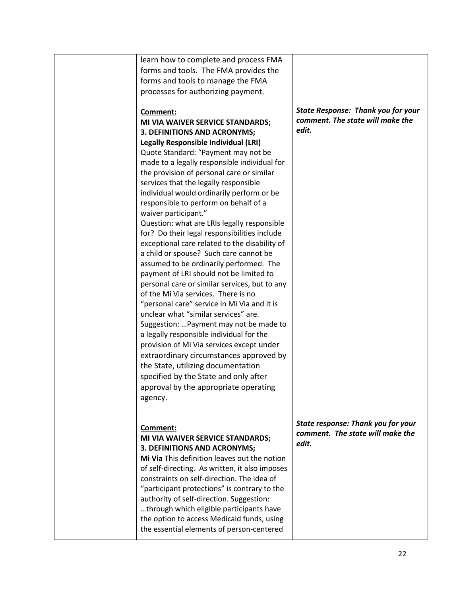| learn how to complete and process FMA          |                                           |
|------------------------------------------------|-------------------------------------------|
| forms and tools. The FMA provides the          |                                           |
| forms and tools to manage the FMA              |                                           |
| processes for authorizing payment.             |                                           |
|                                                |                                           |
| Comment:                                       | <b>State Response: Thank you for your</b> |
| MI VIA WAIVER SERVICE STANDARDS;               | comment. The state will make the          |
|                                                | edit.                                     |
| 3. DEFINITIONS AND ACRONYMS;                   |                                           |
| <b>Legally Responsible Individual (LRI)</b>    |                                           |
| Quote Standard: "Payment may not be            |                                           |
| made to a legally responsible individual for   |                                           |
| the provision of personal care or similar      |                                           |
| services that the legally responsible          |                                           |
| individual would ordinarily perform or be      |                                           |
| responsible to perform on behalf of a          |                                           |
| waiver participant."                           |                                           |
| Question: what are LRIs legally responsible    |                                           |
| for? Do their legal responsibilities include   |                                           |
| exceptional care related to the disability of  |                                           |
|                                                |                                           |
| a child or spouse? Such care cannot be         |                                           |
| assumed to be ordinarily performed. The        |                                           |
| payment of LRI should not be limited to        |                                           |
| personal care or similar services, but to any  |                                           |
| of the Mi Via services. There is no            |                                           |
| "personal care" service in Mi Via and it is    |                                           |
| unclear what "similar services" are.           |                                           |
| Suggestion:  Payment may not be made to        |                                           |
| a legally responsible individual for the       |                                           |
| provision of Mi Via services except under      |                                           |
| extraordinary circumstances approved by        |                                           |
|                                                |                                           |
| the State, utilizing documentation             |                                           |
| specified by the State and only after          |                                           |
| approval by the appropriate operating          |                                           |
| agency.                                        |                                           |
|                                                |                                           |
|                                                |                                           |
| Comment:                                       | State response: Thank you for your        |
| MI VIA WAIVER SERVICE STANDARDS;               | comment. The state will make the          |
| 3. DEFINITIONS AND ACRONYMS;                   | edit.                                     |
| Mi Via This definition leaves out the notion   |                                           |
| of self-directing. As written, it also imposes |                                           |
| constraints on self-direction. The idea of     |                                           |
|                                                |                                           |
| "participant protections" is contrary to the   |                                           |
| authority of self-direction. Suggestion:       |                                           |
| through which eligible participants have       |                                           |
| the option to access Medicaid funds, using     |                                           |
| the essential elements of person-centered      |                                           |
|                                                |                                           |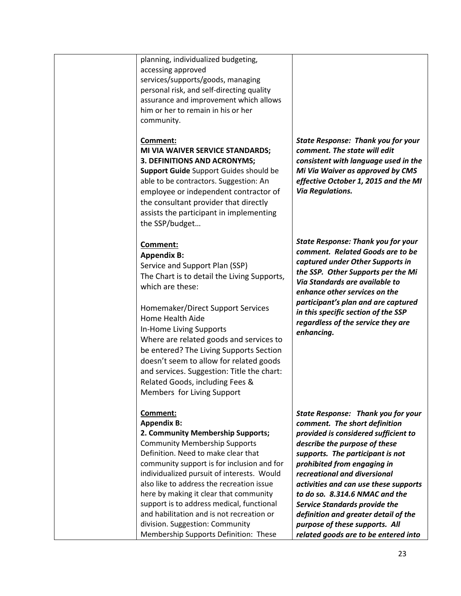| planning, individualized budgeting,<br>accessing approved<br>services/supports/goods, managing<br>personal risk, and self-directing quality<br>assurance and improvement which allows<br>him or her to remain in his or her<br>community.<br>Comment:<br>MI VIA WAIVER SERVICE STANDARDS;<br>3. DEFINITIONS AND ACRONYMS;<br>Support Guide Support Guides should be<br>able to be contractors. Suggestion: An<br>employee or independent contractor of<br>the consultant provider that directly<br>assists the participant in implementing<br>the SSP/budget | <b>State Response: Thank you for your</b><br>comment. The state will edit<br>consistent with language used in the<br>Mi Via Waiver as approved by CMS<br>effective October 1, 2015 and the MI<br><b>Via Regulations.</b>                                                                                                                                                                                                                                                             |
|--------------------------------------------------------------------------------------------------------------------------------------------------------------------------------------------------------------------------------------------------------------------------------------------------------------------------------------------------------------------------------------------------------------------------------------------------------------------------------------------------------------------------------------------------------------|--------------------------------------------------------------------------------------------------------------------------------------------------------------------------------------------------------------------------------------------------------------------------------------------------------------------------------------------------------------------------------------------------------------------------------------------------------------------------------------|
| Comment:<br><b>Appendix B:</b><br>Service and Support Plan (SSP)<br>The Chart is to detail the Living Supports,<br>which are these:<br>Homemaker/Direct Support Services<br>Home Health Aide<br>In-Home Living Supports<br>Where are related goods and services to<br>be entered? The Living Supports Section<br>doesn't seem to allow for related goods<br>and services. Suggestion: Title the chart:<br>Related Goods, including Fees &<br>Members for Living Support                                                                                      | <b>State Response: Thank you for your</b><br>comment. Related Goods are to be<br>captured under Other Supports in<br>the SSP. Other Supports per the Mi<br>Via Standards are available to<br>enhance other services on the<br>participant's plan and are captured<br>in this specific section of the SSP<br>regardless of the service they are<br>enhancing.                                                                                                                         |
| Comment:<br><b>Appendix B:</b><br>2. Community Membership Supports;<br><b>Community Membership Supports</b><br>Definition. Need to make clear that<br>community support is for inclusion and for<br>individualized pursuit of interests. Would<br>also like to address the recreation issue<br>here by making it clear that community<br>support is to address medical, functional<br>and habilitation and is not recreation or<br>division. Suggestion: Community<br>Membership Supports Definition: These                                                  | State Response: Thank you for your<br>comment. The short definition<br>provided is considered sufficient to<br>describe the purpose of these<br>supports. The participant is not<br>prohibited from engaging in<br>recreational and diversional<br>activities and can use these supports<br>to do so. 8.314.6 NMAC and the<br><b>Service Standards provide the</b><br>definition and greater detail of the<br>purpose of these supports. All<br>related goods are to be entered into |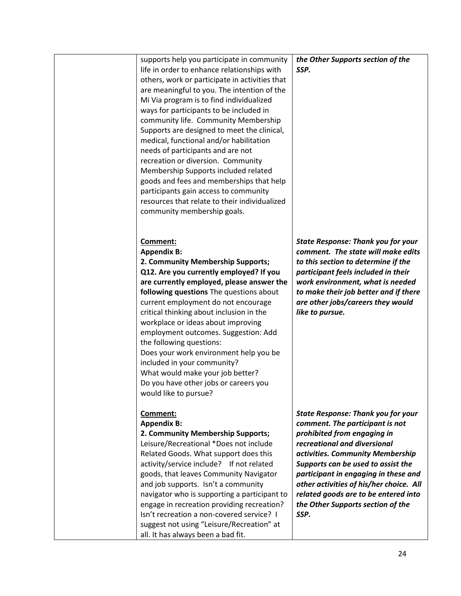| supports help you participate in community<br>life in order to enhance relationships with<br>others, work or participate in activities that<br>are meaningful to you. The intention of the<br>Mi Via program is to find individualized<br>ways for participants to be included in<br>community life. Community Membership<br>Supports are designed to meet the clinical,<br>medical, functional and/or habilitation<br>needs of participants and are not<br>recreation or diversion. Community                                                                                     | the Other Supports section of the<br>SSP.                                                                                                                                                                                                                                                                                                                                                     |
|------------------------------------------------------------------------------------------------------------------------------------------------------------------------------------------------------------------------------------------------------------------------------------------------------------------------------------------------------------------------------------------------------------------------------------------------------------------------------------------------------------------------------------------------------------------------------------|-----------------------------------------------------------------------------------------------------------------------------------------------------------------------------------------------------------------------------------------------------------------------------------------------------------------------------------------------------------------------------------------------|
| Membership Supports included related<br>goods and fees and memberships that help<br>participants gain access to community<br>resources that relate to their individualized<br>community membership goals.                                                                                                                                                                                                                                                                                                                                                                          |                                                                                                                                                                                                                                                                                                                                                                                               |
| Comment:<br><b>Appendix B:</b><br>2. Community Membership Supports;<br>Q12. Are you currently employed? If you<br>are currently employed, please answer the<br>following questions The questions about<br>current employment do not encourage<br>critical thinking about inclusion in the<br>workplace or ideas about improving<br>employment outcomes. Suggestion: Add<br>the following questions:<br>Does your work environment help you be<br>included in your community?<br>What would make your job better?<br>Do you have other jobs or careers you<br>would like to pursue? | <b>State Response: Thank you for your</b><br>comment. The state will make edits<br>to this section to determine if the<br>participant feels included in their<br>work environment, what is needed<br>to make their job better and if there<br>are other jobs/careers they would<br>like to pursue.                                                                                            |
| Comment:<br><b>Appendix B:</b><br>2. Community Membership Supports;<br>Leisure/Recreational *Does not include<br>Related Goods. What support does this<br>activity/service include? If not related<br>goods, that leaves Community Navigator<br>and job supports. Isn't a community<br>navigator who is supporting a participant to<br>engage in recreation providing recreation?<br>Isn't recreation a non-covered service? I<br>suggest not using "Leisure/Recreation" at<br>all. It has always been a bad fit.                                                                  | <b>State Response: Thank you for your</b><br>comment. The participant is not<br>prohibited from engaging in<br>recreational and diversional<br>activities. Community Membership<br>Supports can be used to assist the<br>participant in engaging in these and<br>other activities of his/her choice. All<br>related goods are to be entered into<br>the Other Supports section of the<br>SSP. |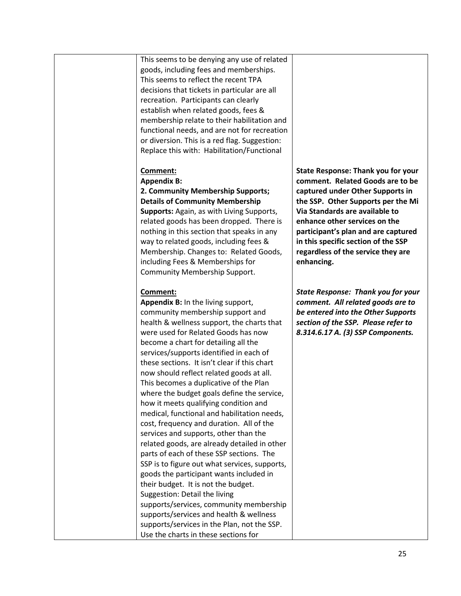This seems to be denying any use of related goods, including fees and memberships. This seems to reflect the recent TPA decisions that tickets in particular are all recreation. Participants can clearly establish when related goods, fees & membership relate to their habilitation and functional needs, and are not for recreation or diversion. This is a red flag. Suggestion: Replace this with: Habilitation/Functional

## **Comment:**

## **Appendix B:**

#### **2. Community Membership Supports; Details of Community Membership**

**Supports:** Again, as with Living Supports, related goods has been dropped. There is nothing in this section that speaks in any way to related goods, including fees & Membership. Changes to: Related Goods, including Fees & Memberships for Community Membership Support.

## **Comment:**

**Appendix B:** In the living support, community membership support and health & wellness support, the charts that were used for Related Goods has now become a chart for detailing all the services/supports identified in each of these sections. It isn't clear if this chart now should reflect related goods at all. This becomes a duplicative of the Plan where the budget goals define the service, how it meets qualifying condition and medical, functional and habilitation needs, cost, frequency and duration. All of the services and supports, other than the related goods, are already detailed in other parts of each of these SSP sections. The SSP is to figure out what services, supports, goods the participant wants included in their budget. It is not the budget. Suggestion: Detail the living supports/services, community membership supports/services and health & wellness supports/services in the Plan, not the SSP. Use the charts in these sections for

**State Response: Thank you for your comment. Related Goods are to be captured under Other Supports in the SSP. Other Supports per the Mi Via Standards are available to enhance other services on the participant's plan and are captured in this specific section of the SSP regardless of the service they are enhancing.**

*State Response: Thank you for your comment. All related goods are to be entered into the Other Supports section of the SSP. Please refer to 8.314.6.17 A. (3) SSP Components.*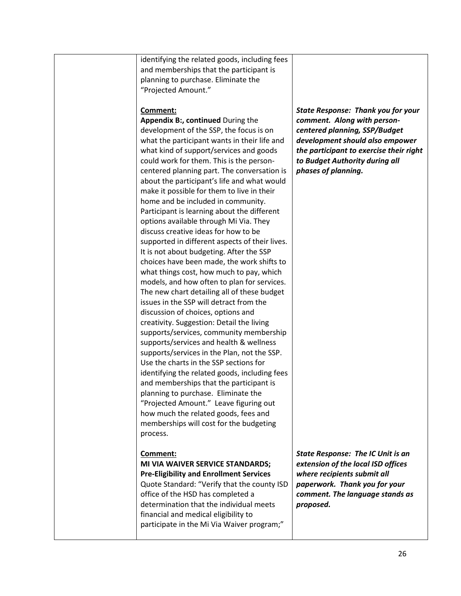|  | identifying the related goods, including fees<br>and memberships that the participant is<br>planning to purchase. Eliminate the<br>"Projected Amount."<br>Comment:<br>Appendix B:, continued During the<br>development of the SSP, the focus is on<br>what the participant wants in their life and<br>what kind of support/services and goods<br>could work for them. This is the person-<br>centered planning part. The conversation is<br>about the participant's life and what would<br>make it possible for them to live in their<br>home and be included in community.<br>Participant is learning about the different<br>options available through Mi Via. They<br>discuss creative ideas for how to be<br>supported in different aspects of their lives.                                                            | <b>State Response: Thank you for your</b><br>comment. Along with person-<br>centered planning, SSP/Budget<br>development should also empower<br>the participant to exercise their right<br>to Budget Authority during all<br>phases of planning. |
|--|---------------------------------------------------------------------------------------------------------------------------------------------------------------------------------------------------------------------------------------------------------------------------------------------------------------------------------------------------------------------------------------------------------------------------------------------------------------------------------------------------------------------------------------------------------------------------------------------------------------------------------------------------------------------------------------------------------------------------------------------------------------------------------------------------------------------------|--------------------------------------------------------------------------------------------------------------------------------------------------------------------------------------------------------------------------------------------------|
|  | It is not about budgeting. After the SSP<br>choices have been made, the work shifts to<br>what things cost, how much to pay, which<br>models, and how often to plan for services.<br>The new chart detailing all of these budget<br>issues in the SSP will detract from the<br>discussion of choices, options and<br>creativity. Suggestion: Detail the living<br>supports/services, community membership<br>supports/services and health & wellness<br>supports/services in the Plan, not the SSP.<br>Use the charts in the SSP sections for<br>identifying the related goods, including fees<br>and memberships that the participant is<br>planning to purchase. Eliminate the<br>"Projected Amount." Leave figuring out<br>how much the related goods, fees and<br>memberships will cost for the budgeting<br>process. |                                                                                                                                                                                                                                                  |
|  | Comment:<br>MI VIA WAIVER SERVICE STANDARDS;<br><b>Pre-Eligibility and Enrollment Services</b><br>Quote Standard: "Verify that the county ISD<br>office of the HSD has completed a<br>determination that the individual meets<br>financial and medical eligibility to<br>participate in the Mi Via Waiver program;"                                                                                                                                                                                                                                                                                                                                                                                                                                                                                                       | <b>State Response: The IC Unit is an</b><br>extension of the local ISD offices<br>where recipients submit all<br>paperwork. Thank you for your<br>comment. The language stands as<br>proposed.                                                   |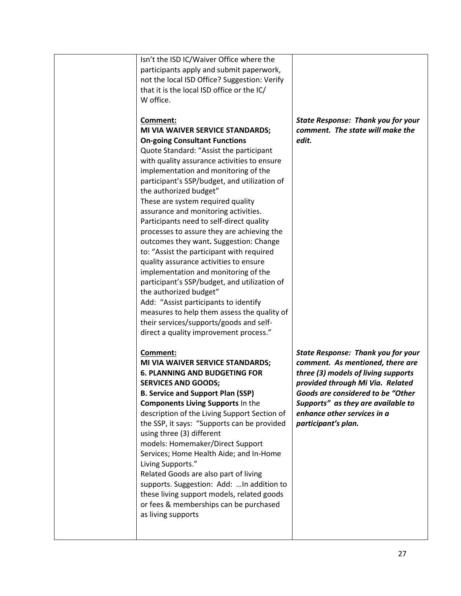|  | Isn't the ISD IC/Waiver Office where the<br>participants apply and submit paperwork,<br>not the local ISD Office? Suggestion: Verify<br>that it is the local ISD office or the IC/<br>W office.                                                                                                                                                                                                                                                                                                                                                                                                                                                                                                                                                                                                                                                                                                         |                                                                                                                                                                                                                                                                                           |
|--|---------------------------------------------------------------------------------------------------------------------------------------------------------------------------------------------------------------------------------------------------------------------------------------------------------------------------------------------------------------------------------------------------------------------------------------------------------------------------------------------------------------------------------------------------------------------------------------------------------------------------------------------------------------------------------------------------------------------------------------------------------------------------------------------------------------------------------------------------------------------------------------------------------|-------------------------------------------------------------------------------------------------------------------------------------------------------------------------------------------------------------------------------------------------------------------------------------------|
|  | Comment:<br>MI VIA WAIVER SERVICE STANDARDS;<br><b>On-going Consultant Functions</b><br>Quote Standard: "Assist the participant<br>with quality assurance activities to ensure<br>implementation and monitoring of the<br>participant's SSP/budget, and utilization of<br>the authorized budget"<br>These are system required quality<br>assurance and monitoring activities.<br>Participants need to self-direct quality<br>processes to assure they are achieving the<br>outcomes they want. Suggestion: Change<br>to: "Assist the participant with required<br>quality assurance activities to ensure<br>implementation and monitoring of the<br>participant's SSP/budget, and utilization of<br>the authorized budget"<br>Add: "Assist participants to identify<br>measures to help them assess the quality of<br>their services/supports/goods and self-<br>direct a quality improvement process." | <b>State Response: Thank you for your</b><br>comment. The state will make the<br>edit.                                                                                                                                                                                                    |
|  | Comment:<br>MI VIA WAIVER SERVICE STANDARDS;<br><b>6. PLANNING AND BUDGETING FOR</b><br><b>SERVICES AND GOODS;</b><br><b>B. Service and Support Plan (SSP)</b><br><b>Components Living Supports In the</b><br>description of the Living Support Section of<br>the SSP, it says: "Supports can be provided<br>using three (3) different<br>models: Homemaker/Direct Support<br>Services; Home Health Aide; and In-Home<br>Living Supports."<br>Related Goods are also part of living<br>supports. Suggestion: Add:  In addition to<br>these living support models, related goods<br>or fees & memberships can be purchased<br>as living supports                                                                                                                                                                                                                                                         | <b>State Response: Thank you for your</b><br>comment. As mentioned, there are<br>three (3) models of living supports<br>provided through Mi Via. Related<br>Goods are considered to be "Other<br>Supports" as they are available to<br>enhance other services in a<br>participant's plan. |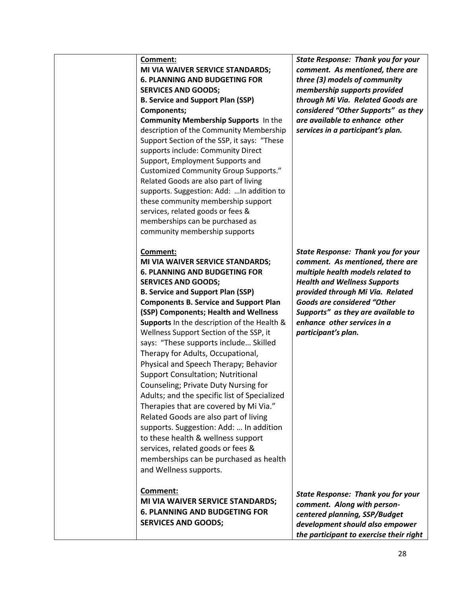| Comment:<br>MI VIA WAIVER SERVICE STANDARDS;<br><b>6. PLANNING AND BUDGETING FOR</b><br><b>SERVICES AND GOODS;</b><br><b>B. Service and Support Plan (SSP)</b><br>Components;<br>Community Membership Supports In the<br>description of the Community Membership<br>Support Section of the SSP, it says: "These<br>supports include: Community Direct<br>Support, Employment Supports and<br><b>Customized Community Group Supports."</b><br>Related Goods are also part of living<br>supports. Suggestion: Add:  In addition to<br>these community membership support<br>services, related goods or fees &<br>memberships can be purchased as<br>community membership supports                                                                                                                                                                                                                   | <b>State Response: Thank you for your</b><br>comment. As mentioned, there are<br>three (3) models of community<br>membership supports provided<br>through Mi Via. Related Goods are<br>considered "Other Supports" as they<br>are available to enhance other<br>services in a participant's plan.                               |
|---------------------------------------------------------------------------------------------------------------------------------------------------------------------------------------------------------------------------------------------------------------------------------------------------------------------------------------------------------------------------------------------------------------------------------------------------------------------------------------------------------------------------------------------------------------------------------------------------------------------------------------------------------------------------------------------------------------------------------------------------------------------------------------------------------------------------------------------------------------------------------------------------|---------------------------------------------------------------------------------------------------------------------------------------------------------------------------------------------------------------------------------------------------------------------------------------------------------------------------------|
| Comment:<br>MI VIA WAIVER SERVICE STANDARDS;<br><b>6. PLANNING AND BUDGETING FOR</b><br><b>SERVICES AND GOODS;</b><br><b>B. Service and Support Plan (SSP)</b><br><b>Components B. Service and Support Plan</b><br>(SSP) Components; Health and Wellness<br><b>Supports</b> In the description of the Health &<br>Wellness Support Section of the SSP, it<br>says: "These supports include Skilled<br>Therapy for Adults, Occupational,<br>Physical and Speech Therapy; Behavior<br><b>Support Consultation; Nutritional</b><br>Counseling; Private Duty Nursing for<br>Adults; and the specific list of Specialized<br>Therapies that are covered by Mi Via."<br>Related Goods are also part of living<br>supports. Suggestion: Add:  In addition<br>to these health & wellness support<br>services, related goods or fees &<br>memberships can be purchased as health<br>and Wellness supports. | <b>State Response: Thank you for your</b><br>comment. As mentioned, there are<br>multiple health models related to<br><b>Health and Wellness Supports</b><br>provided through Mi Via. Related<br><b>Goods are considered "Other</b><br>Supports" as they are available to<br>enhance other services in a<br>participant's plan. |
| Comment:<br><b>MI VIA WAIVER SERVICE STANDARDS;</b><br><b>6. PLANNING AND BUDGETING FOR</b><br><b>SERVICES AND GOODS;</b>                                                                                                                                                                                                                                                                                                                                                                                                                                                                                                                                                                                                                                                                                                                                                                         | <b>State Response: Thank you for your</b><br>comment. Along with person-<br>centered planning, SSP/Budget<br>development should also empower<br>the participant to exercise their right                                                                                                                                         |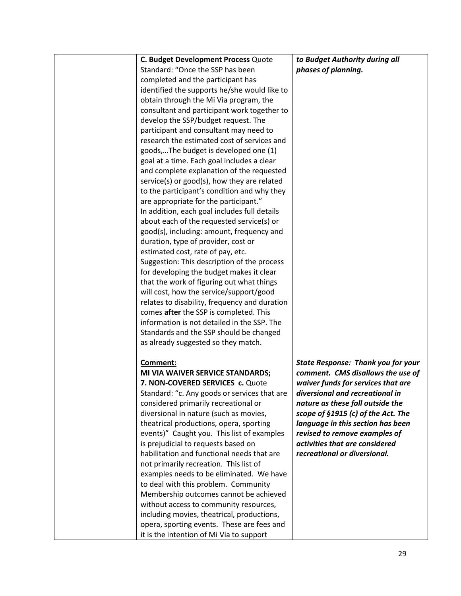| C. Budget Development Process Quote           | to Budget Authority during all            |
|-----------------------------------------------|-------------------------------------------|
| Standard: "Once the SSP has been              | phases of planning.                       |
| completed and the participant has             |                                           |
| identified the supports he/she would like to  |                                           |
| obtain through the Mi Via program, the        |                                           |
| consultant and participant work together to   |                                           |
| develop the SSP/budget request. The           |                                           |
| participant and consultant may need to        |                                           |
| research the estimated cost of services and   |                                           |
| goods,The budget is developed one (1)         |                                           |
| goal at a time. Each goal includes a clear    |                                           |
| and complete explanation of the requested     |                                           |
| service(s) or good(s), how they are related   |                                           |
| to the participant's condition and why they   |                                           |
| are appropriate for the participant."         |                                           |
| In addition, each goal includes full details  |                                           |
| about each of the requested service(s) or     |                                           |
|                                               |                                           |
| good(s), including: amount, frequency and     |                                           |
| duration, type of provider, cost or           |                                           |
| estimated cost, rate of pay, etc.             |                                           |
| Suggestion: This description of the process   |                                           |
| for developing the budget makes it clear      |                                           |
| that the work of figuring out what things     |                                           |
| will cost, how the service/support/good       |                                           |
| relates to disability, frequency and duration |                                           |
| comes <b>after</b> the SSP is completed. This |                                           |
| information is not detailed in the SSP. The   |                                           |
| Standards and the SSP should be changed       |                                           |
| as already suggested so they match.           |                                           |
|                                               |                                           |
| Comment:                                      | <b>State Response: Thank you for your</b> |
| MI VIA WAIVER SERVICE STANDARDS;              | comment. CMS disallows the use of         |
| 7. NON-COVERED SERVICES c. Quote              | waiver funds for services that are        |
| Standard: "c. Any goods or services that are  | diversional and recreational in           |
| considered primarily recreational or          | nature as these fall outside the          |
| diversional in nature (such as movies,        | scope of §1915 (c) of the Act. The        |
| theatrical productions, opera, sporting       | language in this section has been         |
| events)" Caught you. This list of examples    | revised to remove examples of             |
| is prejudicial to requests based on           | activities that are considered            |
| habilitation and functional needs that are    | recreational or diversional.              |
| not primarily recreation. This list of        |                                           |
| examples needs to be eliminated. We have      |                                           |
| to deal with this problem. Community          |                                           |
| Membership outcomes cannot be achieved        |                                           |
| without access to community resources,        |                                           |
| including movies, theatrical, productions,    |                                           |
| opera, sporting events. These are fees and    |                                           |
| it is the intention of Mi Via to support      |                                           |
|                                               |                                           |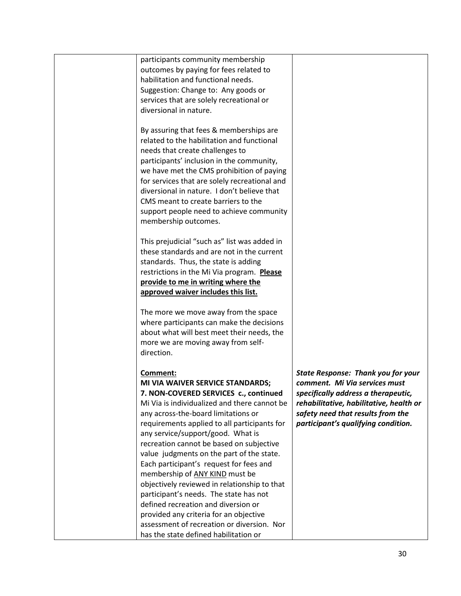| participants community membership<br>outcomes by paying for fees related to<br>habilitation and functional needs.<br>Suggestion: Change to: Any goods or<br>services that are solely recreational or<br>diversional in nature.                                                                                                                                                                                                                                                                                                                                                                                                                                   |                                                                                                                                                                                                                                          |
|------------------------------------------------------------------------------------------------------------------------------------------------------------------------------------------------------------------------------------------------------------------------------------------------------------------------------------------------------------------------------------------------------------------------------------------------------------------------------------------------------------------------------------------------------------------------------------------------------------------------------------------------------------------|------------------------------------------------------------------------------------------------------------------------------------------------------------------------------------------------------------------------------------------|
| By assuring that fees & memberships are<br>related to the habilitation and functional<br>needs that create challenges to<br>participants' inclusion in the community,<br>we have met the CMS prohibition of paying<br>for services that are solely recreational and<br>diversional in nature. I don't believe that<br>CMS meant to create barriers to the<br>support people need to achieve community<br>membership outcomes.                                                                                                                                                                                                                                    |                                                                                                                                                                                                                                          |
| This prejudicial "such as" list was added in<br>these standards and are not in the current<br>standards. Thus, the state is adding<br>restrictions in the Mi Via program. Please<br>provide to me in writing where the<br>approved waiver includes this list.                                                                                                                                                                                                                                                                                                                                                                                                    |                                                                                                                                                                                                                                          |
| The more we move away from the space<br>where participants can make the decisions<br>about what will best meet their needs, the<br>more we are moving away from self-<br>direction.                                                                                                                                                                                                                                                                                                                                                                                                                                                                              |                                                                                                                                                                                                                                          |
| Comment:<br>MI VIA WAIVER SERVICE STANDARDS;<br>7. NON-COVERED SERVICES c., continued<br>Mi Via is individualized and there cannot be<br>any across-the-board limitations or<br>requirements applied to all participants for<br>any service/support/good. What is<br>recreation cannot be based on subjective<br>value judgments on the part of the state.<br>Each participant's request for fees and<br>membership of ANY KIND must be<br>objectively reviewed in relationship to that<br>participant's needs. The state has not<br>defined recreation and diversion or<br>provided any criteria for an objective<br>assessment of recreation or diversion. Nor | <b>State Response: Thank you for your</b><br>comment. Mi Via services must<br>specifically address a therapeutic,<br>rehabilitative, habilitative, health or<br>safety need that results from the<br>participant's qualifying condition. |
| has the state defined habilitation or                                                                                                                                                                                                                                                                                                                                                                                                                                                                                                                                                                                                                            |                                                                                                                                                                                                                                          |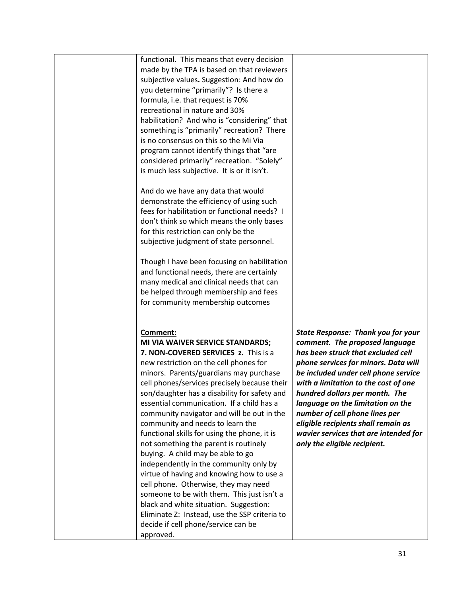functional. This means that every decision made by the TPA is based on that reviewers subjective values**.** Suggestion: And how do you determine "primarily"? Is there a formula, i.e. that request is 70% recreational in nature and 30% habilitation? And who is "considering" that something is "primarily" recreation? There is no consensus on this so the Mi Via program cannot identify things that "are considered primarily" recreation. "Solely" is much less subjective. It is or it isn't.

And do we have any data that would demonstrate the efficiency of using such fees for habilitation or functional needs? I don't think so which means the only bases for this restriction can only be the subjective judgment of state personnel.

Though I have been focusing on habilitation and functional needs, there are certainly many medical and clinical needs that can be helped through membership and fees for community membership outcomes

#### **Comment:**

**MI VIA WAIVER SERVICE STANDARDS; 7. NON-COVERED SERVICES z.** This is a new restriction on the cell phones for minors. Parents/guardians may purchase cell phones/services precisely because their son/daughter has a disability for safety and essential communication. If a child has a community navigator and will be out in the community and needs to learn the functional skills for using the phone, it is not something the parent is routinely buying. A child may be able to go independently in the community only by virtue of having and knowing how to use a cell phone. Otherwise, they may need someone to be with them. This just isn't a black and white situation. Suggestion: Eliminate Z: Instead, use the SSP criteria to decide if cell phone/service can be approved.

*State Response: Thank you for your comment. The proposed language has been struck that excluded cell phone services for minors. Data will be included under cell phone service with a limitation to the cost of one hundred dollars per month. The language on the limitation on the number of cell phone lines per eligible recipients shall remain as wavier services that are intended for only the eligible recipient.*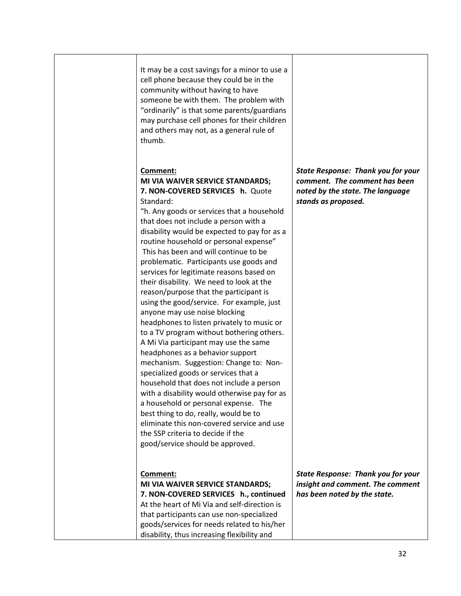| It may be a cost savings for a minor to use a<br>cell phone because they could be in the<br>community without having to have<br>someone be with them. The problem with<br>"ordinarily" is that some parents/guardians<br>may purchase cell phones for their children<br>and others may not, as a general rule of<br>thumb.                                                                                                                                                                                                                                                                                                                                                                                                                                                                                                                                                                                                                                                                                                                                                                                                                       |                                                                                                                                       |
|--------------------------------------------------------------------------------------------------------------------------------------------------------------------------------------------------------------------------------------------------------------------------------------------------------------------------------------------------------------------------------------------------------------------------------------------------------------------------------------------------------------------------------------------------------------------------------------------------------------------------------------------------------------------------------------------------------------------------------------------------------------------------------------------------------------------------------------------------------------------------------------------------------------------------------------------------------------------------------------------------------------------------------------------------------------------------------------------------------------------------------------------------|---------------------------------------------------------------------------------------------------------------------------------------|
| Comment:<br>MI VIA WAIVER SERVICE STANDARDS;<br>7. NON-COVERED SERVICES h. Quote<br>Standard:<br>"h. Any goods or services that a household<br>that does not include a person with a<br>disability would be expected to pay for as a<br>routine household or personal expense"<br>This has been and will continue to be<br>problematic. Participants use goods and<br>services for legitimate reasons based on<br>their disability. We need to look at the<br>reason/purpose that the participant is<br>using the good/service. For example, just<br>anyone may use noise blocking<br>headphones to listen privately to music or<br>to a TV program without bothering others.<br>A Mi Via participant may use the same<br>headphones as a behavior support<br>mechanism. Suggestion: Change to: Non-<br>specialized goods or services that a<br>household that does not include a person<br>with a disability would otherwise pay for as<br>a household or personal expense. The<br>best thing to do, really, would be to<br>eliminate this non-covered service and use<br>the SSP criteria to decide if the<br>good/service should be approved. | <b>State Response: Thank you for your</b><br>comment. The comment has been<br>noted by the state. The language<br>stands as proposed. |
| Comment:<br>MI VIA WAIVER SERVICE STANDARDS;<br>7. NON-COVERED SERVICES h., continued<br>At the heart of Mi Via and self-direction is<br>that participants can use non-specialized<br>goods/services for needs related to his/her<br>disability, thus increasing flexibility and                                                                                                                                                                                                                                                                                                                                                                                                                                                                                                                                                                                                                                                                                                                                                                                                                                                                 | <b>State Response: Thank you for your</b><br>insight and comment. The comment<br>has been noted by the state.                         |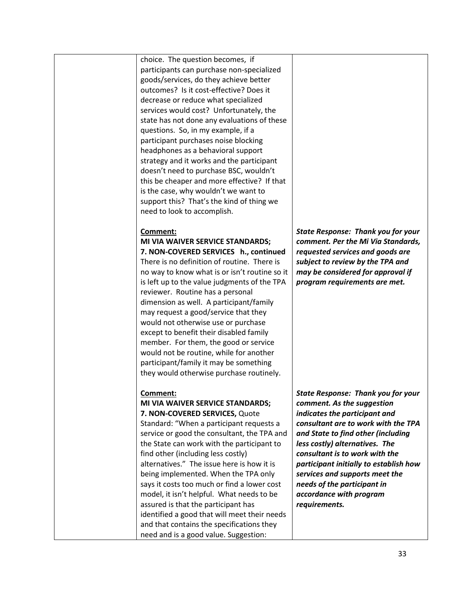choice. The question becomes, if participants can purchase non-specialized goods/services, do they achieve better outcomes? Is it cost-effective? Does it decrease or reduce what specialized services would cost? Unfortunately, the state has not done any evaluations of these questions. So, in my example, if a participant purchases noise blocking headphones as a behavioral support strategy and it works and the participant doesn't need to purchase BSC, wouldn't this be cheaper and more effective? If that is the case, why wouldn't we want to support this? That's the kind of thing we need to look to accomplish.

## **Comment:**

**MI VIA WAIVER SERVICE STANDARDS; 7. NON-COVERED SERVICES h., continued** There is no definition of routine. There is no way to know what is or isn't routine so it is left up to the value judgments of the TPA reviewer. Routine has a personal dimension as well. A participant/family may request a good/service that they would not otherwise use or purchase except to benefit their disabled family member. For them, the good or service would not be routine, while for another participant/family it may be something they would otherwise purchase routinely.

**Comment: MI VIA WAIVER SERVICE STANDARDS; 7. NON-COVERED SERVICES,** Quote Standard: "When a participant requests a service or good the consultant, the TPA and the State can work with the participant to find other (including less costly) alternatives." The issue here is how it is being implemented. When the TPA only says it costs too much or find a lower cost model, it isn't helpful. What needs to be assured is that the participant has identified a good that will meet their needs and that contains the specifications they need and is a good value. Suggestion:

*State Response: Thank you for your comment. Per the Mi Via Standards, requested services and goods are subject to review by the TPA and may be considered for approval if program requirements are met.* 

*State Response: Thank you for your comment. As the suggestion indicates the participant and consultant are to work with the TPA and State to find other (including less costly) alternatives. The consultant is to work with the participant initially to establish how services and supports meet the needs of the participant in accordance with program requirements.*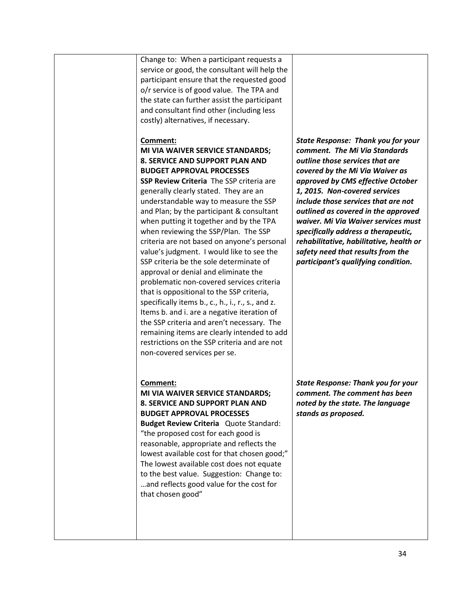| Change to: When a participant requests a<br>service or good, the consultant will help the<br>participant ensure that the requested good<br>o/r service is of good value. The TPA and<br>the state can further assist the participant<br>and consultant find other (including less<br>costly) alternatives, if necessary.                                                                                                                                                                                                                                                                                                                                                                                                                                                                                                                                                                                                                    |                                                                                                                                                                                                                                                                                                                                                                                                                                                                                                           |
|---------------------------------------------------------------------------------------------------------------------------------------------------------------------------------------------------------------------------------------------------------------------------------------------------------------------------------------------------------------------------------------------------------------------------------------------------------------------------------------------------------------------------------------------------------------------------------------------------------------------------------------------------------------------------------------------------------------------------------------------------------------------------------------------------------------------------------------------------------------------------------------------------------------------------------------------|-----------------------------------------------------------------------------------------------------------------------------------------------------------------------------------------------------------------------------------------------------------------------------------------------------------------------------------------------------------------------------------------------------------------------------------------------------------------------------------------------------------|
| Comment:<br>MI VIA WAIVER SERVICE STANDARDS;<br>8. SERVICE AND SUPPORT PLAN AND<br><b>BUDGET APPROVAL PROCESSES</b><br>SSP Review Criteria The SSP criteria are<br>generally clearly stated. They are an<br>understandable way to measure the SSP<br>and Plan; by the participant & consultant<br>when putting it together and by the TPA<br>when reviewing the SSP/Plan. The SSP<br>criteria are not based on anyone's personal<br>value's judgment. I would like to see the<br>SSP criteria be the sole determinate of<br>approval or denial and eliminate the<br>problematic non-covered services criteria<br>that is oppositional to the SSP criteria,<br>specifically items b., c., h., i., r., s., and z.<br>Items b. and i. are a negative iteration of<br>the SSP criteria and aren't necessary. The<br>remaining items are clearly intended to add<br>restrictions on the SSP criteria and are not<br>non-covered services per se. | <b>State Response: Thank you for your</b><br>comment. The Mi Via Standards<br>outline those services that are<br>covered by the Mi Via Waiver as<br>approved by CMS effective October<br>1, 2015. Non-covered services<br>include those services that are not<br>outlined as covered in the approved<br>waiver. Mi Via Waiver services must<br>specifically address a therapeutic,<br>rehabilitative, habilitative, health or<br>safety need that results from the<br>participant's qualifying condition. |
| Comment:<br>MI VIA WAIVER SERVICE STANDARDS;<br>8. SERVICE AND SUPPORT PLAN AND<br><b>BUDGET APPROVAL PROCESSES</b><br><b>Budget Review Criteria</b> Quote Standard:<br>"the proposed cost for each good is<br>reasonable, appropriate and reflects the<br>lowest available cost for that chosen good;"<br>The lowest available cost does not equate<br>to the best value. Suggestion: Change to:<br>and reflects good value for the cost for<br>that chosen good"                                                                                                                                                                                                                                                                                                                                                                                                                                                                          | <b>State Response: Thank you for your</b><br>comment. The comment has been<br>noted by the state. The language<br>stands as proposed.                                                                                                                                                                                                                                                                                                                                                                     |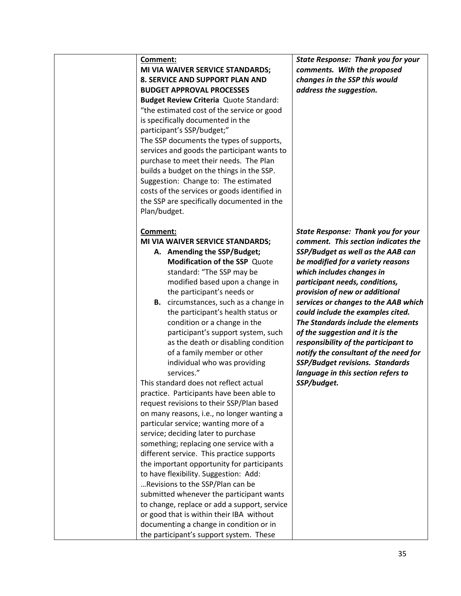| <u>Comment:</u><br>Plan/budget. | MI VIA WAIVER SERVICE STANDARDS;<br>8. SERVICE AND SUPPORT PLAN AND<br><b>BUDGET APPROVAL PROCESSES</b><br>Budget Review Criteria Quote Standard:<br>"the estimated cost of the service or good<br>is specifically documented in the<br>participant's SSP/budget;"<br>The SSP documents the types of supports,<br>services and goods the participant wants to<br>purchase to meet their needs. The Plan<br>builds a budget on the things in the SSP.<br>Suggestion: Change to: The estimated<br>costs of the services or goods identified in<br>the SSP are specifically documented in the                                                                                                                                                                                                                                                                                                                                                                                                                                                                                                                                                                                                   | <b>State Response:</b><br>comments. With<br>changes in the SS<br>address the sugge                                                                                                                                                                                                                                                                          |
|---------------------------------|----------------------------------------------------------------------------------------------------------------------------------------------------------------------------------------------------------------------------------------------------------------------------------------------------------------------------------------------------------------------------------------------------------------------------------------------------------------------------------------------------------------------------------------------------------------------------------------------------------------------------------------------------------------------------------------------------------------------------------------------------------------------------------------------------------------------------------------------------------------------------------------------------------------------------------------------------------------------------------------------------------------------------------------------------------------------------------------------------------------------------------------------------------------------------------------------|-------------------------------------------------------------------------------------------------------------------------------------------------------------------------------------------------------------------------------------------------------------------------------------------------------------------------------------------------------------|
| Comment:<br>В.                  | MI VIA WAIVER SERVICE STANDARDS;<br>A. Amending the SSP/Budget;<br><b>Modification of the SSP Quote</b><br>standard: "The SSP may be<br>modified based upon a change in<br>the participant's needs or<br>circumstances, such as a change in<br>the participant's health status or<br>condition or a change in the<br>participant's support system, such<br>as the death or disabling condition<br>of a family member or other<br>individual who was providing<br>services."<br>This standard does not reflect actual<br>practice. Participants have been able to<br>request revisions to their SSP/Plan based<br>on many reasons, i.e., no longer wanting a<br>particular service; wanting more of a<br>service; deciding later to purchase<br>something; replacing one service with a<br>different service. This practice supports<br>the important opportunity for participants<br>to have flexibility. Suggestion: Add:<br>Revisions to the SSP/Plan can be<br>submitted whenever the participant wants<br>to change, replace or add a support, service<br>or good that is within their IBA without<br>documenting a change in condition or in<br>the participant's support system. These | <b>State Response:</b><br>comment. This se<br><b>SSP/Budget as we</b><br>be modified for a<br>which includes ch<br>participant needs<br>provision of new<br>services or change<br>could include the<br><b>The Standards ind</b><br>of the suggestion<br>responsibility of t<br>notify the consult<br>SSP/Budget revisi<br>language in this s<br>SSP/budget. |

**Thank you for your** the proposed *changes in the SSP this would address the suggestion.* 

*State Response: Thank you for your comment. This section indicates the SSP/Budget as well as the AAB can be modified for a variety reasons which includes changes in participant needs, conditions, provision of new or additional es to the AAB which*  $examples$  *cited. The Standards include the elements*  and it is the *responsibility of the participant to notify the consultant of the need for SSP/Budget revisions. Standards language in this section refers to*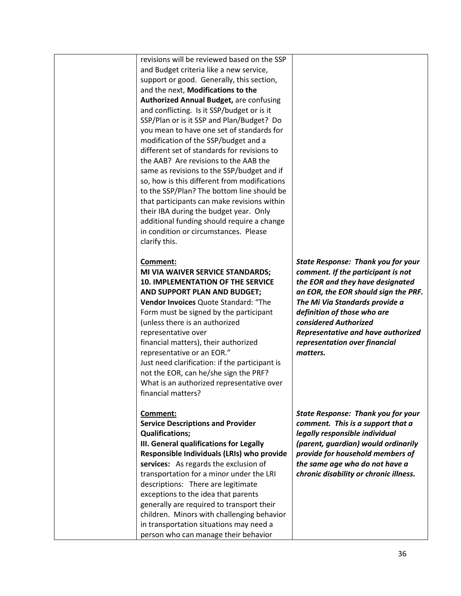revisions will be reviewed based on the SSP and Budget criteria like a new service, support or good. Generally, this section, and the next, **Modifications to the Authorized Annual Budget,** are confusing and conflicting. Is it SSP/budget or is it SSP/Plan or is it SSP and Plan/Budget? Do you mean to have one set of standards for modification of the SSP/budget and a different set of standards for revisions to the AAB? Are revisions to the AAB the same as revisions to the SSP/budget and if so, how is this different from modifications to the SSP/Plan? The bottom line should be that participants can make revisions within their IBA during the budget year. Only additional funding should require a change in condition or circumstances. Please clarify this.

## **Comment:**

## **MI VIA WAIVER SERVICE STANDARDS; 10. IMPLEMENTATION OF THE SERVICE AND SUPPORT PLAN AND BUDGET;**

**Vendor Invoices** Quote Standard: "The Form must be signed by the participant (unless there is an authorized representative over financial matters), their authorized representative or an EOR." Just need clarification: if the participant is not the EOR, can he/she sign the PRF? What is an authorized representative over financial matters?

#### **Comment:**

## **Service Descriptions and Provider Qualifications;**

**III. General qualifications for Legally Responsible Individuals (LRIs) who provide services:** As regards the exclusion of transportation for a minor under the LRI descriptions: There are legitimate exceptions to the idea that parents generally are required to transport their children. Minors with challenging behavior in transportation situations may need a person who can manage their behavior

*State Response: Thank you for your comment. If the participant is not the EOR and they have designated an EOR, the EOR should sign the PRF. The Mi Via Standards provide a definition of those who are considered Authorized Representative and have authorized representation over financial matters.* 

*State Response: Thank you for your comment. This is a support that a legally responsible individual (parent, guardian) would ordinarily provide for household members of the same age who do not have a chronic disability or chronic illness.*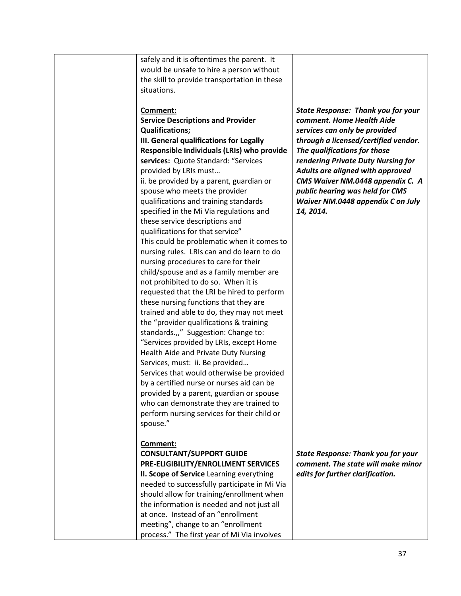| safely and it is oftentimes the parent. It<br>would be unsafe to hire a person without<br>the skill to provide transportation in these<br>situations.                                                                                                                                                                                                                                                                                                                                                                                                                                                                                                                                                                                                                                                                                                                                                                                                                                                                                                                                                                                                                                                                                                                                         |                                                                                                                                                                                                                                                                                                                                                                                    |
|-----------------------------------------------------------------------------------------------------------------------------------------------------------------------------------------------------------------------------------------------------------------------------------------------------------------------------------------------------------------------------------------------------------------------------------------------------------------------------------------------------------------------------------------------------------------------------------------------------------------------------------------------------------------------------------------------------------------------------------------------------------------------------------------------------------------------------------------------------------------------------------------------------------------------------------------------------------------------------------------------------------------------------------------------------------------------------------------------------------------------------------------------------------------------------------------------------------------------------------------------------------------------------------------------|------------------------------------------------------------------------------------------------------------------------------------------------------------------------------------------------------------------------------------------------------------------------------------------------------------------------------------------------------------------------------------|
| Comment:<br><b>Service Descriptions and Provider</b><br><b>Qualifications;</b><br>III. General qualifications for Legally<br>Responsible Individuals (LRIs) who provide<br>services: Quote Standard: "Services<br>provided by LRIs must<br>ii. be provided by a parent, guardian or<br>spouse who meets the provider<br>qualifications and training standards<br>specified in the Mi Via regulations and<br>these service descriptions and<br>qualifications for that service"<br>This could be problematic when it comes to<br>nursing rules. LRIs can and do learn to do<br>nursing procedures to care for their<br>child/spouse and as a family member are<br>not prohibited to do so. When it is<br>requested that the LRI be hired to perform<br>these nursing functions that they are<br>trained and able to do, they may not meet<br>the "provider qualifications & training<br>standards.,," Suggestion: Change to:<br>"Services provided by LRIs, except Home<br>Health Aide and Private Duty Nursing<br>Services, must: ii. Be provided<br>Services that would otherwise be provided<br>by a certified nurse or nurses aid can be<br>provided by a parent, guardian or spouse<br>who can demonstrate they are trained to<br>perform nursing services for their child or<br>spouse." | <b>State Response: Thank you for your</b><br>comment. Home Health Aide<br>services can only be provided<br>through a licensed/certified vendor.<br>The qualifications for those<br>rendering Private Duty Nursing for<br>Adults are aligned with approved<br>CMS Waiver NM.0448 appendix C. A<br>public hearing was held for CMS<br>Waiver NM.0448 appendix C on July<br>14, 2014. |
| <b>Comment:</b><br><b>CONSULTANT/SUPPORT GUIDE</b><br>PRE-ELIGIBILITY/ENROLLMENT SERVICES<br>II. Scope of Service Learning everything<br>needed to successfully participate in Mi Via<br>should allow for training/enrollment when<br>the information is needed and not just all<br>at once. Instead of an "enrollment<br>meeting", change to an "enrollment<br>process." The first year of Mi Via involves                                                                                                                                                                                                                                                                                                                                                                                                                                                                                                                                                                                                                                                                                                                                                                                                                                                                                   | <b>State Response: Thank you for your</b><br>comment. The state will make minor<br>edits for further clarification.                                                                                                                                                                                                                                                                |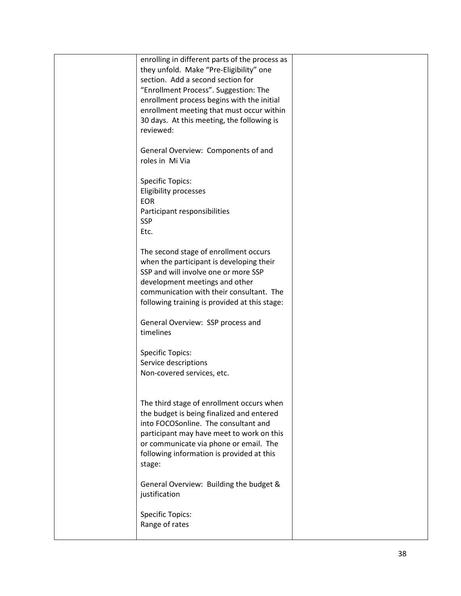| enrolling in different parts of the process as<br>they unfold. Make "Pre-Eligibility" one<br>section. Add a second section for<br>"Enrollment Process". Suggestion: The<br>enrollment process begins with the initial<br>enrollment meeting that must occur within<br>30 days. At this meeting, the following is<br>reviewed: |  |
|-------------------------------------------------------------------------------------------------------------------------------------------------------------------------------------------------------------------------------------------------------------------------------------------------------------------------------|--|
| General Overview: Components of and<br>roles in Mi Via                                                                                                                                                                                                                                                                        |  |
| <b>Specific Topics:</b><br>Eligibility processes<br>EOR<br>Participant responsibilities<br><b>SSP</b><br>Etc.                                                                                                                                                                                                                 |  |
| The second stage of enrollment occurs<br>when the participant is developing their<br>SSP and will involve one or more SSP<br>development meetings and other<br>communication with their consultant. The<br>following training is provided at this stage:                                                                      |  |
| General Overview: SSP process and<br>timelines                                                                                                                                                                                                                                                                                |  |
| <b>Specific Topics:</b><br>Service descriptions<br>Non-covered services, etc.                                                                                                                                                                                                                                                 |  |
| The third stage of enrollment occurs when<br>the budget is being finalized and entered<br>into FOCOSonline. The consultant and<br>participant may have meet to work on this<br>or communicate via phone or email. The<br>following information is provided at this<br>stage:                                                  |  |
| General Overview: Building the budget &<br>justification                                                                                                                                                                                                                                                                      |  |
| <b>Specific Topics:</b><br>Range of rates                                                                                                                                                                                                                                                                                     |  |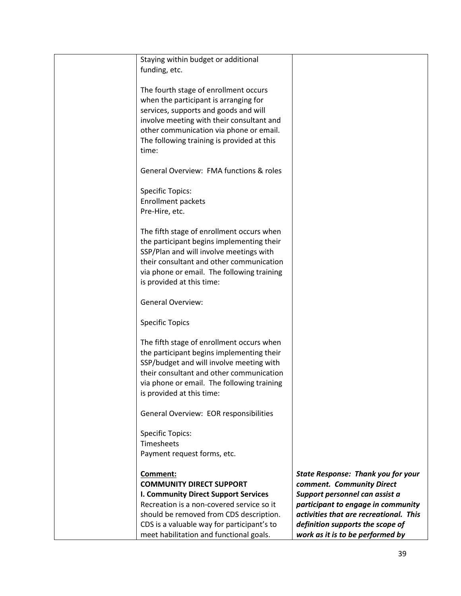| Staying within budget or additional         |                                           |
|---------------------------------------------|-------------------------------------------|
| funding, etc.                               |                                           |
|                                             |                                           |
| The fourth stage of enrollment occurs       |                                           |
| when the participant is arranging for       |                                           |
| services, supports and goods and will       |                                           |
|                                             |                                           |
| involve meeting with their consultant and   |                                           |
| other communication via phone or email.     |                                           |
| The following training is provided at this  |                                           |
| time:                                       |                                           |
|                                             |                                           |
| General Overview: FMA functions & roles     |                                           |
| <b>Specific Topics:</b>                     |                                           |
| <b>Enrollment packets</b>                   |                                           |
| Pre-Hire, etc.                              |                                           |
|                                             |                                           |
| The fifth stage of enrollment occurs when   |                                           |
| the participant begins implementing their   |                                           |
| SSP/Plan and will involve meetings with     |                                           |
| their consultant and other communication    |                                           |
|                                             |                                           |
| via phone or email. The following training  |                                           |
| is provided at this time:                   |                                           |
| <b>General Overview:</b>                    |                                           |
| <b>Specific Topics</b>                      |                                           |
| The fifth stage of enrollment occurs when   |                                           |
|                                             |                                           |
| the participant begins implementing their   |                                           |
| SSP/budget and will involve meeting with    |                                           |
| their consultant and other communication    |                                           |
| via phone or email. The following training  |                                           |
| is provided at this time:                   |                                           |
| General Overview: EOR responsibilities      |                                           |
|                                             |                                           |
| <b>Specific Topics:</b>                     |                                           |
| <b>Timesheets</b>                           |                                           |
| Payment request forms, etc.                 |                                           |
|                                             |                                           |
| Comment:                                    | <b>State Response: Thank you for your</b> |
| <b>COMMUNITY DIRECT SUPPORT</b>             | comment. Community Direct                 |
| <b>I. Community Direct Support Services</b> | Support personnel can assist a            |
| Recreation is a non-covered service so it   | participant to engage in community        |
| should be removed from CDS description.     | activities that are recreational. This    |
| CDS is a valuable way for participant's to  | definition supports the scope of          |
| meet habilitation and functional goals.     | work as it is to be performed by          |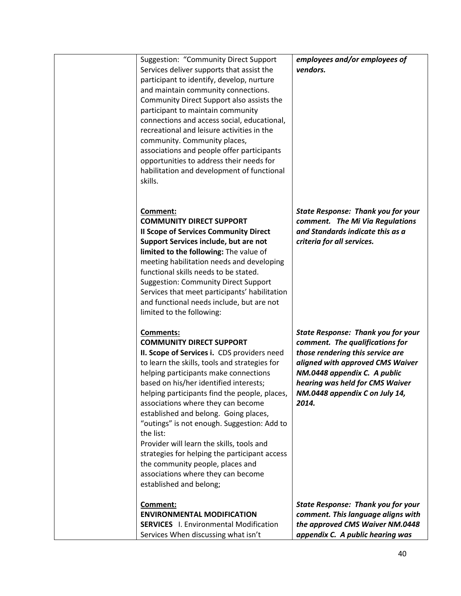| <b>Suggestion: "Community Direct Support</b><br>Services deliver supports that assist the<br>participant to identify, develop, nurture<br>and maintain community connections.<br>Community Direct Support also assists the<br>participant to maintain community<br>connections and access social, educational,<br>recreational and leisure activities in the<br>community. Community places,<br>associations and people offer participants<br>opportunities to address their needs for<br>habilitation and development of functional<br>skills.                                                                                       | employees and/or employees of<br>vendors.                                                                                                                                                                                                                          |
|---------------------------------------------------------------------------------------------------------------------------------------------------------------------------------------------------------------------------------------------------------------------------------------------------------------------------------------------------------------------------------------------------------------------------------------------------------------------------------------------------------------------------------------------------------------------------------------------------------------------------------------|--------------------------------------------------------------------------------------------------------------------------------------------------------------------------------------------------------------------------------------------------------------------|
| Comment:<br><b>COMMUNITY DIRECT SUPPORT</b><br><b>Il Scope of Services Community Direct</b><br>Support Services include, but are not<br>limited to the following: The value of<br>meeting habilitation needs and developing<br>functional skills needs to be stated.<br><b>Suggestion: Community Direct Support</b><br>Services that meet participants' habilitation<br>and functional needs include, but are not<br>limited to the following:                                                                                                                                                                                        | <b>State Response: Thank you for your</b><br>comment. The Mi Via Regulations<br>and Standards indicate this as a<br>criteria for all services.                                                                                                                     |
| <b>Comments:</b><br><b>COMMUNITY DIRECT SUPPORT</b><br>II. Scope of Services i. CDS providers need<br>to learn the skills, tools and strategies for<br>helping participants make connections<br>based on his/her identified interests;<br>helping participants find the people, places,<br>associations where they can become<br>established and belong. Going places,<br>"outings" is not enough. Suggestion: Add to<br>the list:<br>Provider will learn the skills, tools and<br>strategies for helping the participant access<br>the community people, places and<br>associations where they can become<br>established and belong; | <b>State Response: Thank you for your</b><br>comment. The qualifications for<br>those rendering this service are<br>aligned with approved CMS Waiver<br>NM.0448 appendix C. A public<br>hearing was held for CMS Waiver<br>NM.0448 appendix C on July 14,<br>2014. |
| Comment:<br><b>ENVIRONMENTAL MODIFICATION</b><br><b>SERVICES</b> I. Environmental Modification<br>Services When discussing what isn't                                                                                                                                                                                                                                                                                                                                                                                                                                                                                                 | <b>State Response: Thank you for your</b><br>comment. This language aligns with<br>the approved CMS Waiver NM.0448<br>appendix C. A public hearing was                                                                                                             |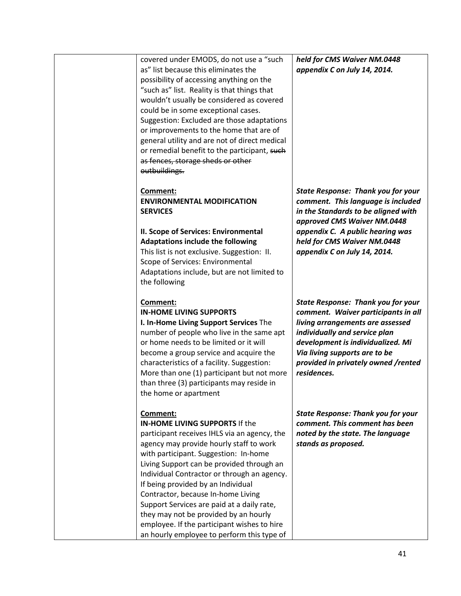| covered under EMODS, do not use a "such                                                   | held for CMS Waiver NM.0448               |
|-------------------------------------------------------------------------------------------|-------------------------------------------|
| as" list because this eliminates the                                                      | appendix C on July 14, 2014.              |
| possibility of accessing anything on the                                                  |                                           |
| "such as" list. Reality is that things that                                               |                                           |
| wouldn't usually be considered as covered                                                 |                                           |
| could be in some exceptional cases.                                                       |                                           |
| Suggestion: Excluded are those adaptations                                                |                                           |
| or improvements to the home that are of                                                   |                                           |
| general utility and are not of direct medical                                             |                                           |
| or remedial benefit to the participant, such                                              |                                           |
| as fences, storage sheds or other                                                         |                                           |
| outbuildings.                                                                             |                                           |
|                                                                                           |                                           |
| Comment:                                                                                  | <b>State Response: Thank you for your</b> |
| <b>ENVIRONMENTAL MODIFICATION</b>                                                         | comment. This language is included        |
| <b>SERVICES</b>                                                                           | in the Standards to be aligned with       |
|                                                                                           | approved CMS Waiver NM.0448               |
| II. Scope of Services: Environmental                                                      | appendix C. A public hearing was          |
| <b>Adaptations include the following</b>                                                  | held for CMS Waiver NM.0448               |
| This list is not exclusive. Suggestion: II.                                               | appendix C on July 14, 2014.              |
| Scope of Services: Environmental                                                          |                                           |
| Adaptations include, but are not limited to                                               |                                           |
| the following                                                                             |                                           |
|                                                                                           |                                           |
|                                                                                           |                                           |
| Comment:                                                                                  | <b>State Response: Thank you for your</b> |
| <b>IN-HOME LIVING SUPPORTS</b>                                                            | comment. Waiver participants in all       |
| I. In-Home Living Support Services The                                                    | living arrangements are assessed          |
| number of people who live in the same apt                                                 | individually and service plan             |
| or home needs to be limited or it will                                                    | development is individualized. Mi         |
| become a group service and acquire the                                                    | Via living supports are to be             |
| characteristics of a facility. Suggestion:                                                | provided in privately owned /rented       |
| More than one (1) participant but not more                                                | residences.                               |
| than three (3) participants may reside in                                                 |                                           |
| the home or apartment                                                                     |                                           |
|                                                                                           |                                           |
| Comment:                                                                                  | <b>State Response: Thank you for your</b> |
| <b>IN-HOME LIVING SUPPORTS If the</b>                                                     | comment. This comment has been            |
| participant receives IHLS via an agency, the                                              | noted by the state. The language          |
| agency may provide hourly staff to work                                                   | stands as proposed.                       |
| with participant. Suggestion: In-home                                                     |                                           |
| Living Support can be provided through an                                                 |                                           |
| Individual Contractor or through an agency.                                               |                                           |
| If being provided by an Individual                                                        |                                           |
| Contractor, because In-home Living                                                        |                                           |
| Support Services are paid at a daily rate,                                                |                                           |
| they may not be provided by an hourly                                                     |                                           |
| employee. If the participant wishes to hire<br>an hourly employee to perform this type of |                                           |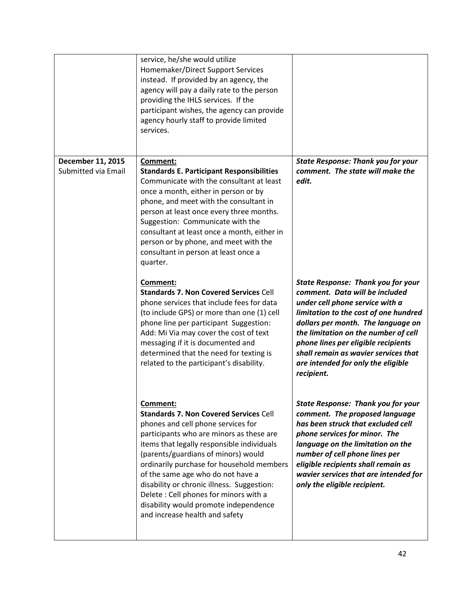|                                                 | service, he/she would utilize<br>Homemaker/Direct Support Services<br>instead. If provided by an agency, the<br>agency will pay a daily rate to the person<br>providing the IHLS services. If the<br>participant wishes, the agency can provide<br>agency hourly staff to provide limited<br>services.                                                                                                                                                                               |                                                                                                                                                                                                                                                                                                                                                                          |
|-------------------------------------------------|--------------------------------------------------------------------------------------------------------------------------------------------------------------------------------------------------------------------------------------------------------------------------------------------------------------------------------------------------------------------------------------------------------------------------------------------------------------------------------------|--------------------------------------------------------------------------------------------------------------------------------------------------------------------------------------------------------------------------------------------------------------------------------------------------------------------------------------------------------------------------|
| <b>December 11, 2015</b><br>Submitted via Email | Comment:<br><b>Standards E. Participant Responsibilities</b><br>Communicate with the consultant at least<br>once a month, either in person or by<br>phone, and meet with the consultant in<br>person at least once every three months.<br>Suggestion: Communicate with the<br>consultant at least once a month, either in<br>person or by phone, and meet with the<br>consultant in person at least once a<br>quarter.                                                               | <b>State Response: Thank you for your</b><br>comment. The state will make the<br>edit.                                                                                                                                                                                                                                                                                   |
|                                                 | Comment:<br><b>Standards 7. Non Covered Services Cell</b><br>phone services that include fees for data<br>(to include GPS) or more than one (1) cell<br>phone line per participant Suggestion:<br>Add: Mi Via may cover the cost of text<br>messaging if it is documented and<br>determined that the need for texting is<br>related to the participant's disability.                                                                                                                 | <b>State Response: Thank you for your</b><br>comment. Data will be included<br>under cell phone service with a<br>limitation to the cost of one hundred<br>dollars per month. The language on<br>the limitation on the number of cell<br>phone lines per eligible recipients<br>shall remain as wavier services that<br>are intended for only the eligible<br>recipient. |
|                                                 | Comment:<br><b>Standards 7. Non Covered Services Cell</b><br>phones and cell phone services for<br>participants who are minors as these are<br>items that legally responsible individuals<br>(parents/guardians of minors) would<br>ordinarily purchase for household members<br>of the same age who do not have a<br>disability or chronic illness. Suggestion:<br>Delete: Cell phones for minors with a<br>disability would promote independence<br>and increase health and safety | <b>State Response: Thank you for your</b><br>comment. The proposed language<br>has been struck that excluded cell<br>phone services for minor. The<br>language on the limitation on the<br>number of cell phone lines per<br>eligible recipients shall remain as<br>wavier services that are intended for<br>only the eligible recipient.                                |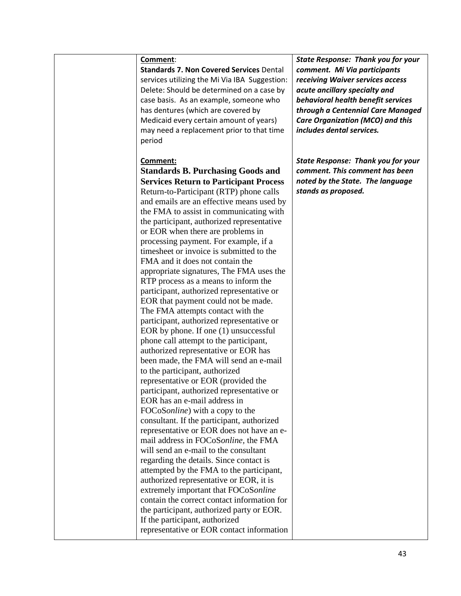**Standards 7. Non Covered Services** Dental services utilizing the Mi Via IBA Suggestion: Delete: Should be determined on a case by case basis. As an example, someone who has dentures (which are covered by Medicaid every certain amount of years) may need a replacement prior to that time period

## **Comment:**

**Standards B. Purchasing Goods and Services Return to Participant Process**  Return-to-Participant (RTP) phone calls and emails are an effective means used by the FMA to assist in communicating with the participant, authorized representative or EOR when there are problems in processing payment. For example, if a timesheet or invoice is submitted to the FMA and it does not contain the appropriate signatures, The FMA uses the RTP process as a means to inform the participant, authorized representative or EOR that payment could not be made. The FMA attempts contact with the participant, authorized representative or EOR by phone. If one (1) unsuccessful phone call attempt to the participant, authorized representative or EOR has been made, the FMA will send an e-mail to the participant, authorized representative or EOR (provided the participant, authorized representative or EOR has an e-mail address in FOCoS*online*) with a copy to the consultant. If the participant, authorized representative or EOR does not have an email address in FOCoS*online,* the FMA will send an e-mail to the consultant regarding the details. Since contact is attempted by the FMA to the participant, authorized representative or EOR, it is extremely important that FOCoS*online*  contain the correct contact information for the participant, authorized party or EOR. If the participant, authorized representative or EOR contact information *State Response: Thank you for your comment. Mi Via participants receiving Waiver services access acute ancillary specialty and behavioral health benefit services through a Centennial Care Managed Care Organization (MCO) and this includes dental services.*

*State Response: Thank you for your comment. This comment has been noted by the State. The language stands as proposed.*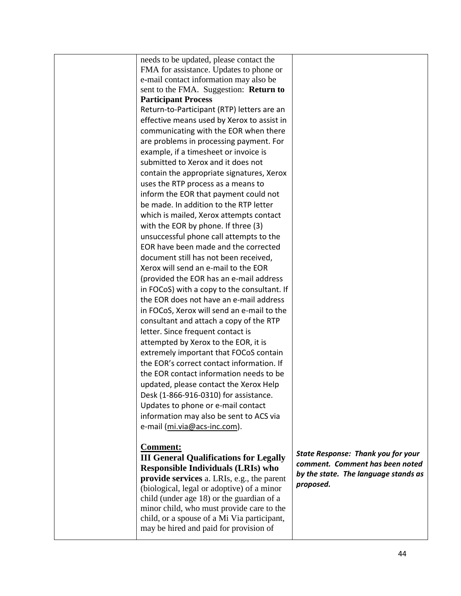| needs to be updated, please contact the       |                                                                              |
|-----------------------------------------------|------------------------------------------------------------------------------|
| FMA for assistance. Updates to phone or       |                                                                              |
| e-mail contact information may also be        |                                                                              |
| sent to the FMA. Suggestion: Return to        |                                                                              |
| <b>Participant Process</b>                    |                                                                              |
| Return-to-Participant (RTP) letters are an    |                                                                              |
| effective means used by Xerox to assist in    |                                                                              |
| communicating with the EOR when there         |                                                                              |
| are problems in processing payment. For       |                                                                              |
| example, if a timesheet or invoice is         |                                                                              |
| submitted to Xerox and it does not            |                                                                              |
| contain the appropriate signatures, Xerox     |                                                                              |
| uses the RTP process as a means to            |                                                                              |
| inform the EOR that payment could not         |                                                                              |
| be made. In addition to the RTP letter        |                                                                              |
| which is mailed, Xerox attempts contact       |                                                                              |
| with the EOR by phone. If three (3)           |                                                                              |
| unsuccessful phone call attempts to the       |                                                                              |
| EOR have been made and the corrected          |                                                                              |
| document still has not been received,         |                                                                              |
| Xerox will send an e-mail to the EOR          |                                                                              |
| (provided the EOR has an e-mail address       |                                                                              |
| in FOCoS) with a copy to the consultant. If   |                                                                              |
| the EOR does not have an e-mail address       |                                                                              |
| in FOCoS, Xerox will send an e-mail to the    |                                                                              |
| consultant and attach a copy of the RTP       |                                                                              |
| letter. Since frequent contact is             |                                                                              |
| attempted by Xerox to the EOR, it is          |                                                                              |
| extremely important that FOCoS contain        |                                                                              |
| the EOR's correct contact information. If     |                                                                              |
| the EOR contact information needs to be       |                                                                              |
| updated, please contact the Xerox Help        |                                                                              |
| Desk (1-866-916-0310) for assistance.         |                                                                              |
| Updates to phone or e-mail contact            |                                                                              |
| information may also be sent to ACS via       |                                                                              |
| e-mail (mi.via@acs-inc.com).                  |                                                                              |
| <b>Comment:</b>                               |                                                                              |
| <b>III General Qualifications for Legally</b> | <b>State Response: Thank you for your</b><br>comment. Comment has been noted |
| <b>Responsible Individuals (LRIs) who</b>     | by the state. The language stands as                                         |
| provide services a. LRIs, e.g., the parent    | proposed.                                                                    |
| (biological, legal or adoptive) of a minor    |                                                                              |
| child (under age 18) or the guardian of a     |                                                                              |
| minor child, who must provide care to the     |                                                                              |
| child, or a spouse of a Mi Via participant,   |                                                                              |
| may be hired and paid for provision of        |                                                                              |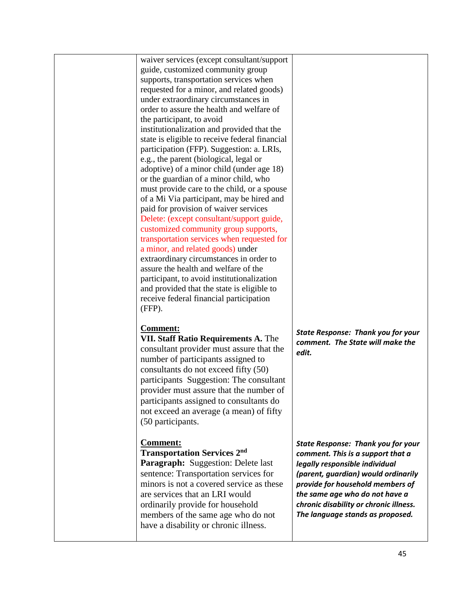waiver services (except consultant/support guide, customized community group supports, transportation services when requested for a minor, and related goods) under extraordinary circumstances in order to assure the health and welfare of the participant, to avoid institutionalization and provided that the state is eligible to receive federal financial participation (FFP). Suggestion: a. LRIs, e.g., the parent (biological, legal or adoptive) of a minor child (under age 18) or the guardian of a minor child, who must provide care to the child, or a spouse of a Mi Via participant, may be hired and paid for provision of waiver services Delete: (except consultant/support guide, customized community group supports, transportation services when requested for a minor, and related goods) under extraordinary circumstances in order to assure the health and welfare of the participant, to avoid institutionalization and provided that the state is eligible to receive federal financial participation (FFP).

## **Comment:**

**VII. Staff Ratio Requirements A.** The consultant provider must assure that the number of participants assigned to consultants do not exceed fifty (50) participants Suggestion: The consultant provider must assure that the number of participants assigned to consultants do not exceed an average (a mean) of fifty (50 participants.

# **Comment:**

**Transportation Services 2 nd Paragraph:** Suggestion: Delete last sentence: Transportation services for minors is not a covered service as these are services that an LRI would ordinarily provide for household members of the same age who do not have a disability or chronic illness.

*State Response: Thank you for your comment. The State will make the edit.*

*State Response: Thank you for your comment. This is a support that a legally responsible individual (parent, guardian) would ordinarily provide for household members of the same age who do not have a chronic disability or chronic illness. The language stands as proposed.*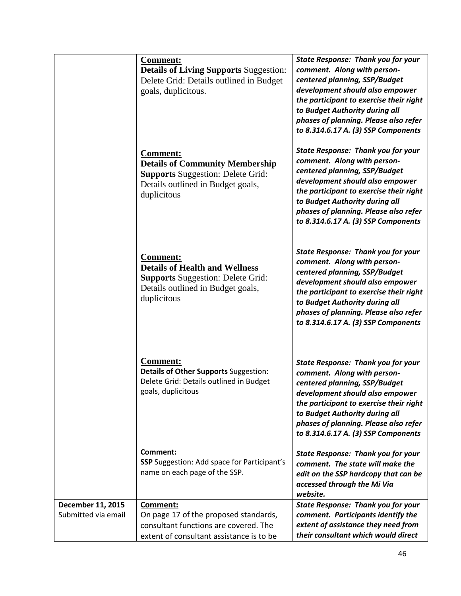|                                          | <b>Comment:</b><br><b>Details of Living Supports Suggestion:</b><br>Delete Grid: Details outlined in Budget<br>goals, duplicitous.                        | <b>State Response: Thank you for your</b><br>comment. Along with person-<br>centered planning, SSP/Budget<br>development should also empower<br>the participant to exercise their right<br>to Budget Authority during all<br>phases of planning. Please also refer<br>to 8.314.6.17 A. (3) SSP Components |
|------------------------------------------|-----------------------------------------------------------------------------------------------------------------------------------------------------------|-----------------------------------------------------------------------------------------------------------------------------------------------------------------------------------------------------------------------------------------------------------------------------------------------------------|
|                                          | <b>Comment:</b><br><b>Details of Community Membership</b><br><b>Supports Suggestion: Delete Grid:</b><br>Details outlined in Budget goals,<br>duplicitous | <b>State Response: Thank you for your</b><br>comment. Along with person-<br>centered planning, SSP/Budget<br>development should also empower<br>the participant to exercise their right<br>to Budget Authority during all<br>phases of planning. Please also refer<br>to 8.314.6.17 A. (3) SSP Components |
|                                          | <b>Comment:</b><br><b>Details of Health and Wellness</b><br><b>Supports Suggestion: Delete Grid:</b><br>Details outlined in Budget goals,<br>duplicitous  | <b>State Response: Thank you for your</b><br>comment. Along with person-<br>centered planning, SSP/Budget<br>development should also empower<br>the participant to exercise their right<br>to Budget Authority during all<br>phases of planning. Please also refer<br>to 8.314.6.17 A. (3) SSP Components |
|                                          | <b>Comment:</b><br>Details of Other Supports Suggestion:<br>Delete Grid: Details outlined in Budget<br>goals, duplicitous                                 | <b>State Response: Thank you for your</b><br>comment. Along with person-<br>centered planning, SSP/Budget<br>development should also empower<br>the participant to exercise their right<br>to Budget Authority during all<br>phases of planning. Please also refer<br>to 8.314.6.17 A. (3) SSP Components |
|                                          | Comment:<br><b>SSP</b> Suggestion: Add space for Participant's<br>name on each page of the SSP.                                                           | <b>State Response: Thank you for your</b><br>comment. The state will make the<br>edit on the SSP hardcopy that can be<br>accessed through the Mi Via<br>website.                                                                                                                                          |
| December 11, 2015<br>Submitted via email | Comment:<br>On page 17 of the proposed standards,<br>consultant functions are covered. The<br>extent of consultant assistance is to be                    | <b>State Response: Thank you for your</b><br>comment. Participants identify the<br>extent of assistance they need from<br>their consultant which would direct                                                                                                                                             |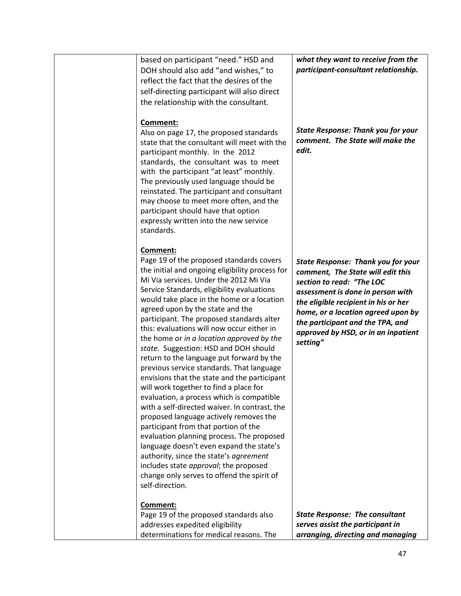| based on participant "need." HSD and<br>DOH should also add "and wishes," to<br>reflect the fact that the desires of the<br>self-directing participant will also direct<br>the relationship with the consultant.                                                                                                                                                                                                                                                                                                                                                                                                                                                                                                                                                                                                                                                                                                                                                                                                                                                                    | what they want to receive from the<br>participant-consultant relationship.                                                                                                                                                                                                                                            |
|-------------------------------------------------------------------------------------------------------------------------------------------------------------------------------------------------------------------------------------------------------------------------------------------------------------------------------------------------------------------------------------------------------------------------------------------------------------------------------------------------------------------------------------------------------------------------------------------------------------------------------------------------------------------------------------------------------------------------------------------------------------------------------------------------------------------------------------------------------------------------------------------------------------------------------------------------------------------------------------------------------------------------------------------------------------------------------------|-----------------------------------------------------------------------------------------------------------------------------------------------------------------------------------------------------------------------------------------------------------------------------------------------------------------------|
| Comment:<br>Also on page 17, the proposed standards<br>state that the consultant will meet with the<br>participant monthly. In the 2012<br>standards, the consultant was to meet<br>with the participant "at least" monthly.<br>The previously used language should be<br>reinstated. The participant and consultant<br>may choose to meet more often, and the<br>participant should have that option<br>expressly written into the new service<br>standards.                                                                                                                                                                                                                                                                                                                                                                                                                                                                                                                                                                                                                       | <b>State Response: Thank you for your</b><br>comment. The State will make the<br>edit.                                                                                                                                                                                                                                |
| Comment:<br>Page 19 of the proposed standards covers<br>the initial and ongoing eligibility process for<br>Mi Via services. Under the 2012 Mi Via<br>Service Standards, eligibility evaluations<br>would take place in the home or a location<br>agreed upon by the state and the<br>participant. The proposed standards alter<br>this: evaluations will now occur either in<br>the home or in a location approved by the<br>state. Suggestion: HSD and DOH should<br>return to the language put forward by the<br>previous service standards. That language<br>envisions that the state and the participant<br>will work together to find a place for<br>evaluation, a process which is compatible<br>with a self-directed waiver. In contrast, the<br>proposed language actively removes the<br>participant from that portion of the<br>evaluation planning process. The proposed<br>language doesn't even expand the state's<br>authority, since the state's agreement<br>includes state approval; the proposed<br>change only serves to offend the spirit of<br>self-direction. | <b>State Response: Thank you for your</b><br>comment, The State will edit this<br>section to read: "The LOC<br>assessment is done in person with<br>the eligible recipient in his or her<br>home, or a location agreed upon by<br>the participant and the TPA, and<br>approved by HSD, or in an inpatient<br>setting" |
| Comment:<br>Page 19 of the proposed standards also                                                                                                                                                                                                                                                                                                                                                                                                                                                                                                                                                                                                                                                                                                                                                                                                                                                                                                                                                                                                                                  | <b>State Response: The consultant</b>                                                                                                                                                                                                                                                                                 |
| addresses expedited eligibility                                                                                                                                                                                                                                                                                                                                                                                                                                                                                                                                                                                                                                                                                                                                                                                                                                                                                                                                                                                                                                                     | serves assist the participant in                                                                                                                                                                                                                                                                                      |
| determinations for medical reasons. The                                                                                                                                                                                                                                                                                                                                                                                                                                                                                                                                                                                                                                                                                                                                                                                                                                                                                                                                                                                                                                             | arranging, directing and managing                                                                                                                                                                                                                                                                                     |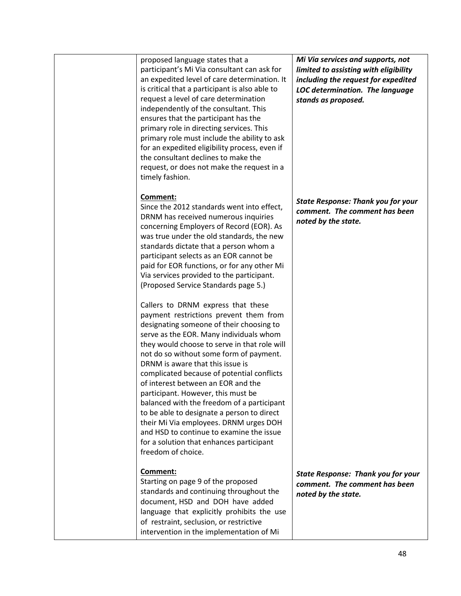proposed language states that a participant's Mi Via consultant can ask for an expedited level of care determination. It is critical that a participant is also able to request a level of care determination independently of the consultant. This ensures that the participant has the primary role in directing services. This primary role must include the ability to ask for an expedited eligibility process, even if the consultant declines to make the request, or does not make the request in a timely fashion.

## **Comment:**

Since the 2012 standards went into effect, DRNM has received numerous inquiries concerning Employers of Record (EOR). As was true under the old standards, the new standards dictate that a person whom a participant selects as an EOR cannot be paid for EOR functions, or for any other Mi Via services provided to the participant. (Proposed Service Standards page 5.)

Callers to DRNM express that these payment restrictions prevent them from designating someone of their choosing to serve as the EOR. Many individuals whom they would choose to serve in that role will not do so without some form of payment. DRNM is aware that this issue is complicated because of potential conflicts of interest between an EOR and the participant. However, this must be balanced with the freedom of a participant to be able to designate a person to direct their Mi Via employees. DRNM urges DOH and HSD to continue to examine the issue for a solution that enhances participant freedom of choice.

# **Comment:**

Starting on page 9 of the proposed standards and continuing throughout the document, HSD and DOH have added language that explicitly prohibits the use of restraint, seclusion, or restrictive intervention in the implementation of Mi

*Mi Via services and supports, not limited to assisting with eligibility including the request for expedited LOC determination. The language stands as proposed.*

*State Response: Thank you for your comment. The comment has been noted by the state.*

*State Response: Thank you for your comment. The comment has been noted by the state.*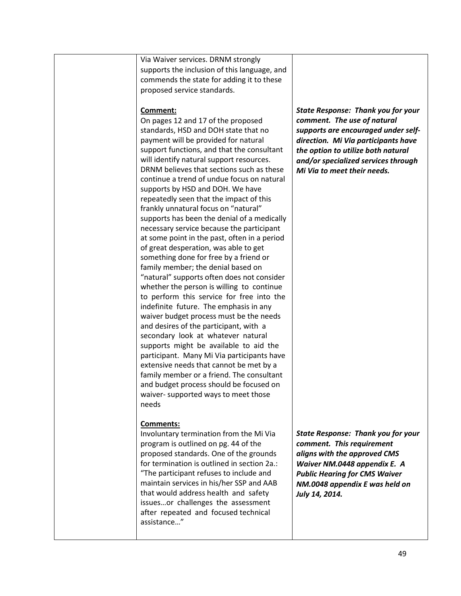|       | Via Waiver services. DRNM strongly<br>supports the inclusion of this language, and<br>commends the state for adding it to these<br>proposed service standards.                                                                                                                                                                                                                                                                                                                                                                                                                                                                                                                                                                                                                                                                                                                                                                                                                                                                                                                                                                                                                                                                                                                                  |                                                                                                                                                                                                                                                                    |
|-------|-------------------------------------------------------------------------------------------------------------------------------------------------------------------------------------------------------------------------------------------------------------------------------------------------------------------------------------------------------------------------------------------------------------------------------------------------------------------------------------------------------------------------------------------------------------------------------------------------------------------------------------------------------------------------------------------------------------------------------------------------------------------------------------------------------------------------------------------------------------------------------------------------------------------------------------------------------------------------------------------------------------------------------------------------------------------------------------------------------------------------------------------------------------------------------------------------------------------------------------------------------------------------------------------------|--------------------------------------------------------------------------------------------------------------------------------------------------------------------------------------------------------------------------------------------------------------------|
| needs | Comment:<br>On pages 12 and 17 of the proposed<br>standards, HSD and DOH state that no<br>payment will be provided for natural<br>support functions, and that the consultant<br>will identify natural support resources.<br>DRNM believes that sections such as these<br>continue a trend of undue focus on natural<br>supports by HSD and DOH. We have<br>repeatedly seen that the impact of this<br>frankly unnatural focus on "natural"<br>supports has been the denial of a medically<br>necessary service because the participant<br>at some point in the past, often in a period<br>of great desperation, was able to get<br>something done for free by a friend or<br>family member; the denial based on<br>"natural" supports often does not consider<br>whether the person is willing to continue<br>to perform this service for free into the<br>indefinite future. The emphasis in any<br>waiver budget process must be the needs<br>and desires of the participant, with a<br>secondary look at whatever natural<br>supports might be available to aid the<br>participant. Many Mi Via participants have<br>extensive needs that cannot be met by a<br>family member or a friend. The consultant<br>and budget process should be focused on<br>waiver- supported ways to meet those | <b>State Response: Thank you for your</b><br>comment. The use of natural<br>supports are encouraged under self-<br>direction. Mi Via participants have<br>the option to utilize both natural<br>and/or specialized services through<br>Mi Via to meet their needs. |
|       | <b>Comments:</b><br>Involuntary termination from the Mi Via<br>program is outlined on pg. 44 of the<br>proposed standards. One of the grounds<br>for termination is outlined in section 2a.:<br>"The participant refuses to include and<br>maintain services in his/her SSP and AAB<br>that would address health and safety<br>issuesor challenges the assessment<br>after repeated and focused technical<br>assistance"                                                                                                                                                                                                                                                                                                                                                                                                                                                                                                                                                                                                                                                                                                                                                                                                                                                                        | <b>State Response: Thank you for your</b><br>comment. This requirement<br>aligns with the approved CMS<br>Waiver NM.0448 appendix E. A<br><b>Public Hearing for CMS Waiver</b><br>NM.0048 appendix E was held on<br>July 14, 2014.                                 |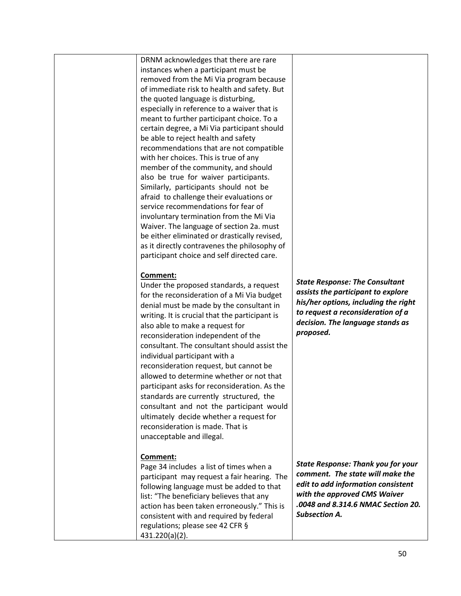DRNM acknowledges that there are rare instances when a participant must be removed from the Mi Via program because of immediate risk to health and safety. But the quoted language is disturbing, especially in reference to a waiver that is meant to further participant choice. To a certain degree, a Mi Via participant should be able to reject health and safety recommendations that are not compatible with her choices. This is true of any member of the community, and should also be true for waiver participants. Similarly, participants should not be afraid to challenge their evaluations or service recommendations for fear of involuntary termination from the Mi Via Waiver. The language of section 2a. must be either eliminated or drastically revised, as it directly contravenes the philosophy of participant choice and self directed care.

#### **Comment:**

Under the proposed standards, a request for the reconsideration of a Mi Via budget denial must be made by the consultant in writing. It is crucial that the participant is also able to make a request for reconsideration independent of the consultant. The consultant should assist the individual participant with a reconsideration request, but cannot be allowed to determine whether or not that participant asks for reconsideration. As the standards are currently structured, the consultant and not the participant would ultimately decide whether a request for reconsideration is made. That is unacceptable and illegal.

# **Comment:**

Page 34 includes a list of times when a participant may request a fair hearing. The following language must be added to that list: "The beneficiary believes that any action has been taken erroneously." This is consistent with and required by federal regulations; please see 42 CFR § 431.220(a)(2).

*State Response: The Consultant assists the participant to explore his/her options, including the right to request a reconsideration of a decision. The language stands as proposed.*

*State Response: Thank you for your comment. The state will make the edit to add information consistent with the approved CMS Waiver .0048 and 8.314.6 NMAC Section 20. Subsection A.*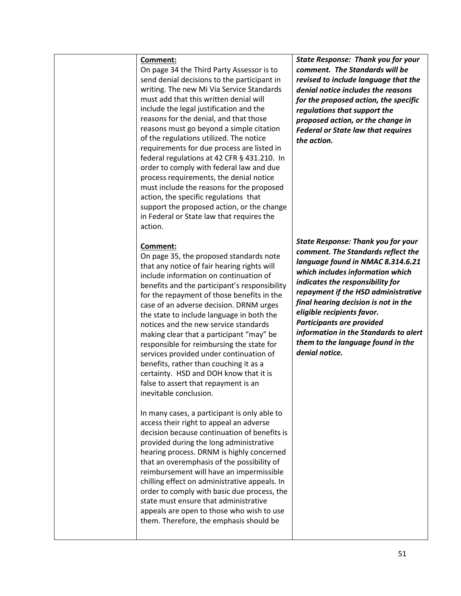On page 34 the Third Party Assessor is to send denial decisions to the participant in writing. The new Mi Via Service Standards must add that this written denial will include the legal justification and the reasons for the denial, and that those reasons must go beyond a simple citation of the regulations utilized. The notice requirements for due process are listed in federal regulations at 42 CFR § 431.210. In order to comply with federal law and due process requirements, the denial notice must include the reasons for the proposed action, the specific regulations that support the proposed action, or the change in Federal or State law that requires the action.

## **Comment:**

On page 35, the proposed standards note that any notice of fair hearing rights will include information on continuation of benefits and the participant's responsibility for the repayment of those benefits in the case of an adverse decision. DRNM urges the state to include language in both the notices and the new service standards making clear that a participant "may" be responsible for reimbursing the state for services provided under continuation of benefits, rather than couching it as a certainty. HSD and DOH know that it is false to assert that repayment is an inevitable conclusion.

In many cases, a participant is only able to access their right to appeal an adverse decision because continuation of benefits is provided during the long administrative hearing process. DRNM is highly concerned that an overemphasis of the possibility of reimbursement will have an impermissible chilling effect on administrative appeals. In order to comply with basic due process, the state must ensure that administrative appeals are open to those who wish to use them. Therefore, the emphasis should be

*State Response: Thank you for your comment. The Standards will be revised to include language that the denial notice includes the reasons for the proposed action, the specific regulations that support the proposed action, or the change in Federal or State law that requires the action.*

*State Response: Thank you for your comment. The Standards reflect the language found in NMAC 8.314.6.21 which includes information which indicates the responsibility for repayment if the HSD administrative final hearing decision is not in the eligible recipients favor. Participants are provided information in the Standards to alert them to the language found in the denial notice.*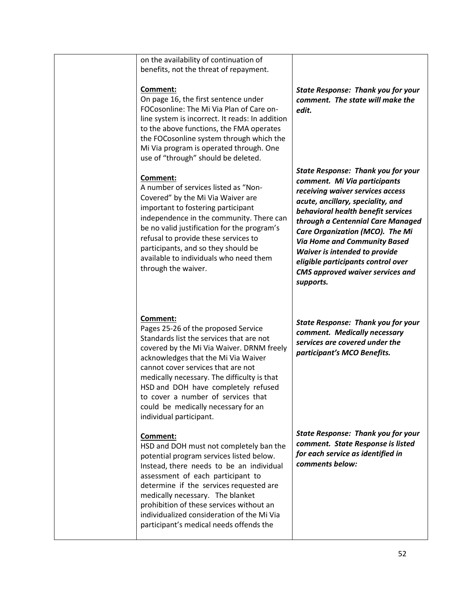| on the availability of continuation of<br>benefits, not the threat of repayment.                                                                                                                                                                                                                                                                                                                                    |                                                                                                                                                                                                                                                                                                                                                                                                                                               |
|---------------------------------------------------------------------------------------------------------------------------------------------------------------------------------------------------------------------------------------------------------------------------------------------------------------------------------------------------------------------------------------------------------------------|-----------------------------------------------------------------------------------------------------------------------------------------------------------------------------------------------------------------------------------------------------------------------------------------------------------------------------------------------------------------------------------------------------------------------------------------------|
| Comment:<br>On page 16, the first sentence under<br>FOCosonline: The Mi Via Plan of Care on-<br>line system is incorrect. It reads: In addition<br>to the above functions, the FMA operates<br>the FOCosonline system through which the<br>Mi Via program is operated through. One<br>use of "through" should be deleted.                                                                                           | <b>State Response: Thank you for your</b><br>comment. The state will make the<br>edit.                                                                                                                                                                                                                                                                                                                                                        |
| Comment:<br>A number of services listed as "Non-<br>Covered" by the Mi Via Waiver are<br>important to fostering participant<br>independence in the community. There can<br>be no valid justification for the program's<br>refusal to provide these services to<br>participants, and so they should be<br>available to individuals who need them<br>through the waiver.                                              | <b>State Response: Thank you for your</b><br>comment. Mi Via participants<br>receiving waiver services access<br>acute, ancillary, speciality, and<br>behavioral health benefit services<br>through a Centennial Care Managed<br>Care Organization (MCO). The Mi<br><b>Via Home and Community Based</b><br><b>Waiver is intended to provide</b><br>eligible participants control over<br><b>CMS approved waiver services and</b><br>supports. |
| Comment:<br>Pages 25-26 of the proposed Service<br>Standards list the services that are not<br>covered by the Mi Via Waiver. DRNM freely<br>acknowledges that the Mi Via Waiver<br>cannot cover services that are not<br>medically necessary. The difficulty is that<br>HSD and DOH have completely refused<br>to cover a number of services that<br>could be medically necessary for an<br>individual participant. | <b>State Response: Thank you for your</b><br>comment. Medically necessary<br>services are covered under the<br>participant's MCO Benefits.                                                                                                                                                                                                                                                                                                    |
| Comment:<br>HSD and DOH must not completely ban the<br>potential program services listed below.<br>Instead, there needs to be an individual<br>assessment of each participant to<br>determine if the services requested are<br>medically necessary. The blanket<br>prohibition of these services without an<br>individualized consideration of the Mi Via<br>participant's medical needs offends the                | <b>State Response: Thank you for your</b><br>comment. State Response is listed<br>for each service as identified in<br>comments below:                                                                                                                                                                                                                                                                                                        |
|                                                                                                                                                                                                                                                                                                                                                                                                                     |                                                                                                                                                                                                                                                                                                                                                                                                                                               |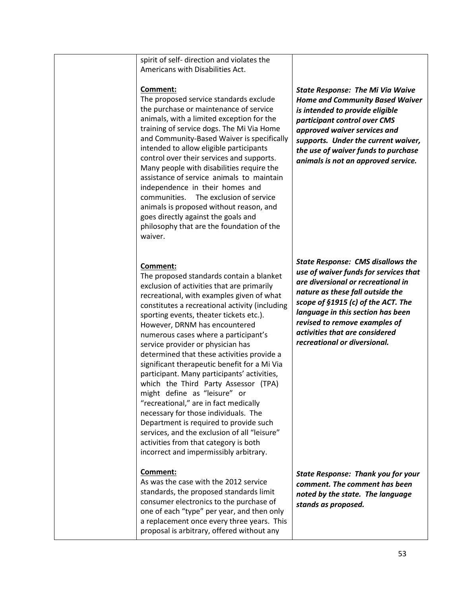spirit of self- direction and violates the Americans with Disabilities Act.

## **Comment:**

The proposed service standards exclude the purchase or maintenance of service animals, with a limited exception for the training of service dogs. The Mi Via Home and Community-Based Waiver is specifically intended to allow eligible participants control over their services and supports. Many people with disabilities require the assistance of service animals to maintain independence in their homes and communities. The exclusion of service animals is proposed without reason, and goes directly against the goals and philosophy that are the foundation of the waiver.

# **Comment:**

The proposed standards contain a blanket exclusion of activities that are primarily recreational, with examples given of what constitutes a recreational activity (including sporting events, theater tickets etc.). However, DRNM has encountered numerous cases where a participant's service provider or physician has determined that these activities provide a significant therapeutic benefit for a Mi Via participant. Many participants' activities, which the Third Party Assessor (TPA) might define as "leisure" or "recreational," are in fact medically necessary for those individuals. The Department is required to provide such services, and the exclusion of all "leisure" activities from that category is both incorrect and impermissibly arbitrary.

# **Comment:**

As was the case with the 2012 service standards, the proposed standards limit consumer electronics to the purchase of one of each "type" per year, and then only a replacement once every three years. This proposal is arbitrary, offered without any

*State Response: The Mi Via Waive Home and Community Based Waiver is intended to provide eligible participant control over CMS approved waiver services and supports. Under the current waiver, the use of waiver funds to purchase animals is not an approved service.*

*State Response: CMS disallows the use of waiver funds for services that are diversional or recreational in nature as these fall outside the scope of §1915 (c) of the ACT. The language in this section has been revised to remove examples of activities that are considered recreational or diversional.* 

*State Response: Thank you for your comment. The comment has been noted by the state. The language stands as proposed.*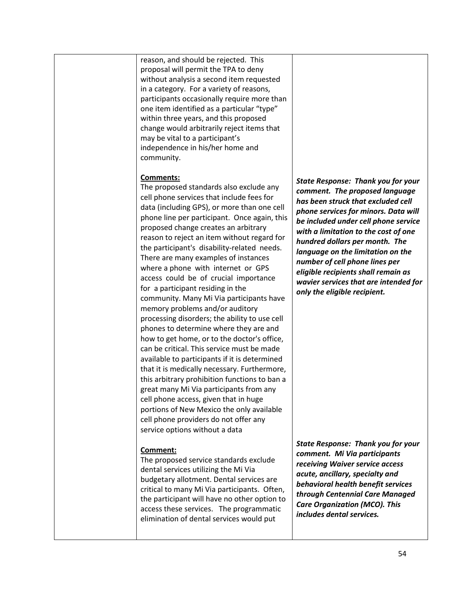reason, and should be rejected. This proposal will permit the TPA to deny without analysis a second item requested in a category. For a variety of reasons, participants occasionally require more than one item identified as a particular "type" within three years, and this proposed change would arbitrarily reject items that may be vital to a participant's independence in his/her home and community.

## **Comments:**

The proposed standards also exclude any cell phone services that include fees for data (including GPS), or more than one cell phone line per participant. Once again, this proposed change creates an arbitrary reason to reject an item without regard for the participant's disability-related needs. There are many examples of instances where a phone with internet or GPS access could be of crucial importance for a participant residing in the community. Many Mi Via participants have memory problems and/or auditory processing disorders; the ability to use cell phones to determine where they are and how to get home, or to the doctor's office, can be critical. This service must be made available to participants if it is determined that it is medically necessary. Furthermore, this arbitrary prohibition functions to ban a great many Mi Via participants from any cell phone access, given that in huge portions of New Mexico the only available cell phone providers do not offer any service options without a data

#### **Comment:**

The proposed service standards exclude dental services utilizing the Mi Via budgetary allotment. Dental services are critical to many Mi Via participants. Often, the participant will have no other option to access these services. The programmatic elimination of dental services would put

*State Response: Thank you for your comment. The proposed language has been struck that excluded cell phone services for minors. Data will be included under cell phone service with a limitation to the cost of one hundred dollars per month. The language on the limitation on the number of cell phone lines per eligible recipients shall remain as wavier services that are intended for only the eligible recipient.* 

*State Response: Thank you for your comment. Mi Via participants receiving Waiver service access acute, ancillary, specialty and behavioral health benefit services through Centennial Care Managed Care Organization (MCO). This includes dental services.*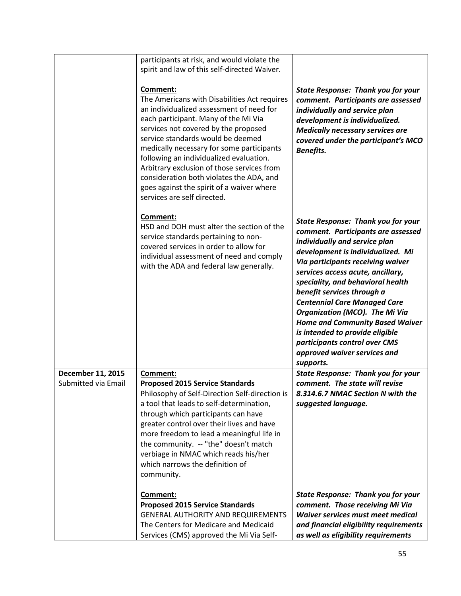|                                          | participants at risk, and would violate the<br>spirit and law of this self-directed Waiver.                                                                                                                                                                                                                                                                                                                                                                                             |                                                                                                                                                                                                                                                                                                                                                                                                                                                                                                                                        |
|------------------------------------------|-----------------------------------------------------------------------------------------------------------------------------------------------------------------------------------------------------------------------------------------------------------------------------------------------------------------------------------------------------------------------------------------------------------------------------------------------------------------------------------------|----------------------------------------------------------------------------------------------------------------------------------------------------------------------------------------------------------------------------------------------------------------------------------------------------------------------------------------------------------------------------------------------------------------------------------------------------------------------------------------------------------------------------------------|
|                                          | Comment:<br>The Americans with Disabilities Act requires<br>an individualized assessment of need for<br>each participant. Many of the Mi Via<br>services not covered by the proposed<br>service standards would be deemed<br>medically necessary for some participants<br>following an individualized evaluation.<br>Arbitrary exclusion of those services from<br>consideration both violates the ADA, and<br>goes against the spirit of a waiver where<br>services are self directed. | <b>State Response: Thank you for your</b><br>comment. Participants are assessed<br>individually and service plan<br>development is individualized.<br><b>Medically necessary services are</b><br>covered under the participant's MCO<br>Benefits.                                                                                                                                                                                                                                                                                      |
|                                          | Comment:<br>HSD and DOH must alter the section of the<br>service standards pertaining to non-<br>covered services in order to allow for<br>individual assessment of need and comply<br>with the ADA and federal law generally.                                                                                                                                                                                                                                                          | <b>State Response: Thank you for your</b><br>comment. Participants are assessed<br>individually and service plan<br>development is individualized. Mi<br>Via participants receiving waiver<br>services access acute, ancillary,<br>speciality, and behavioral health<br>benefit services through a<br><b>Centennial Care Managed Care</b><br>Organization (MCO). The Mi Via<br><b>Home and Community Based Waiver</b><br>is intended to provide eligible<br>participants control over CMS<br>approved waiver services and<br>supports. |
| December 11, 2015<br>Submitted via Email | Comment:<br><b>Proposed 2015 Service Standards</b><br>Philosophy of Self-Direction Self-direction is<br>a tool that leads to self-determination,<br>through which participants can have<br>greater control over their lives and have<br>more freedom to lead a meaningful life in<br>the community. -- "the" doesn't match<br>verbiage in NMAC which reads his/her<br>which narrows the definition of<br>community.                                                                     | <b>State Response: Thank you for your</b><br>comment. The state will revise<br>8.314.6.7 NMAC Section N with the<br>suggested language.                                                                                                                                                                                                                                                                                                                                                                                                |
|                                          | Comment:<br><b>Proposed 2015 Service Standards</b><br><b>GENERAL AUTHORITY AND REQUIREMENTS</b><br>The Centers for Medicare and Medicaid<br>Services (CMS) approved the Mi Via Self-                                                                                                                                                                                                                                                                                                    | <b>State Response: Thank you for your</b><br>comment. Those receiving Mi Via<br><b>Waiver services must meet medical</b><br>and financial eligibility requirements<br>as well as eligibility requirements                                                                                                                                                                                                                                                                                                                              |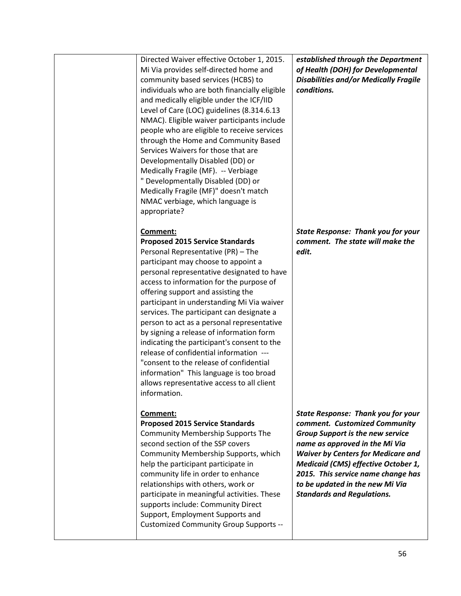| Directed Waiver effective October 1, 2015.<br>Mi Via provides self-directed home and<br>community based services (HCBS) to<br>individuals who are both financially eligible<br>and medically eligible under the ICF/IID<br>Level of Care (LOC) guidelines (8.314.6.13<br>NMAC). Eligible waiver participants include<br>people who are eligible to receive services<br>through the Home and Community Based<br>Services Waivers for those that are<br>Developmentally Disabled (DD) or<br>Medically Fragile (MF). -- Verbiage<br>" Developmentally Disabled (DD) or<br>Medically Fragile (MF)" doesn't match<br>NMAC verbiage, which language is<br>appropriate?                                   | established through the Department<br>of Health (DOH) for Developmental<br><b>Disabilities and/or Medically Fragile</b><br>conditions.                                                                                                                                                                                                                           |
|----------------------------------------------------------------------------------------------------------------------------------------------------------------------------------------------------------------------------------------------------------------------------------------------------------------------------------------------------------------------------------------------------------------------------------------------------------------------------------------------------------------------------------------------------------------------------------------------------------------------------------------------------------------------------------------------------|------------------------------------------------------------------------------------------------------------------------------------------------------------------------------------------------------------------------------------------------------------------------------------------------------------------------------------------------------------------|
| Comment:<br><b>Proposed 2015 Service Standards</b><br>Personal Representative (PR) - The<br>participant may choose to appoint a<br>personal representative designated to have<br>access to information for the purpose of<br>offering support and assisting the<br>participant in understanding Mi Via waiver<br>services. The participant can designate a<br>person to act as a personal representative<br>by signing a release of information form<br>indicating the participant's consent to the<br>release of confidential information ---<br>"consent to the release of confidential<br>information" This language is too broad<br>allows representative access to all client<br>information. | <b>State Response: Thank you for your</b><br>comment. The state will make the<br>edit.                                                                                                                                                                                                                                                                           |
| Comment:<br><b>Proposed 2015 Service Standards</b><br><b>Community Membership Supports The</b><br>second section of the SSP covers<br>Community Membership Supports, which<br>help the participant participate in<br>community life in order to enhance<br>relationships with others, work or<br>participate in meaningful activities. These<br>supports include: Community Direct<br>Support, Employment Supports and<br>Customized Community Group Supports --                                                                                                                                                                                                                                   | <b>State Response: Thank you for your</b><br>comment. Customized Community<br><b>Group Support is the new service</b><br>name as approved in the Mi Via<br><b>Waiver by Centers for Medicare and</b><br><b>Medicaid (CMS) effective October 1,</b><br>2015. This service name change has<br>to be updated in the new Mi Via<br><b>Standards and Regulations.</b> |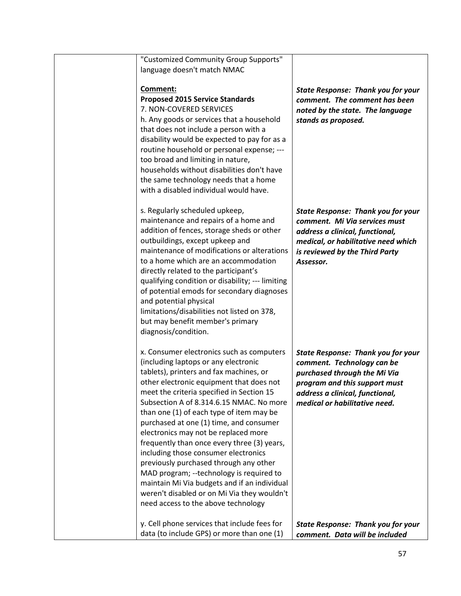| "Customized Community Group Supports"<br>language doesn't match NMAC                                                                                                                                                                                                                                                                                                                                                                                                                                                                                                                                                                                                                                                |                                                                                                                                                                                                              |
|---------------------------------------------------------------------------------------------------------------------------------------------------------------------------------------------------------------------------------------------------------------------------------------------------------------------------------------------------------------------------------------------------------------------------------------------------------------------------------------------------------------------------------------------------------------------------------------------------------------------------------------------------------------------------------------------------------------------|--------------------------------------------------------------------------------------------------------------------------------------------------------------------------------------------------------------|
| Comment:<br><b>Proposed 2015 Service Standards</b><br>7. NON-COVERED SERVICES<br>h. Any goods or services that a household<br>that does not include a person with a<br>disability would be expected to pay for as a<br>routine household or personal expense; ---<br>too broad and limiting in nature,<br>households without disabilities don't have<br>the same technology needs that a home<br>with a disabled individual would have.                                                                                                                                                                                                                                                                             | <b>State Response: Thank you for your</b><br>comment. The comment has been<br>noted by the state. The language<br>stands as proposed.                                                                        |
| s. Regularly scheduled upkeep,<br>maintenance and repairs of a home and<br>addition of fences, storage sheds or other<br>outbuildings, except upkeep and<br>maintenance of modifications or alterations<br>to a home which are an accommodation<br>directly related to the participant's<br>qualifying condition or disability; --- limiting<br>of potential emods for secondary diagnoses<br>and potential physical<br>limitations/disabilities not listed on 378,<br>but may benefit member's primary<br>diagnosis/condition.                                                                                                                                                                                     | <b>State Response: Thank you for your</b><br>comment. Mi Via services must<br>address a clinical, functional,<br>medical, or habilitative need which<br>is reviewed by the Third Party<br>Assessor.          |
| x. Consumer electronics such as computers<br>(including laptops or any electronic<br>tablets), printers and fax machines, or<br>other electronic equipment that does not<br>meet the criteria specified in Section 15<br>Subsection A of 8.314.6.15 NMAC. No more<br>than one (1) of each type of item may be<br>purchased at one (1) time, and consumer<br>electronics may not be replaced more<br>frequently than once every three (3) years,<br>including those consumer electronics<br>previously purchased through any other<br>MAD program; --technology is required to<br>maintain Mi Via budgets and if an individual<br>weren't disabled or on Mi Via they wouldn't<br>need access to the above technology | <b>State Response: Thank you for your</b><br>comment. Technology can be<br>purchased through the Mi Via<br>program and this support must<br>address a clinical, functional,<br>medical or habilitative need. |
| y. Cell phone services that include fees for<br>data (to include GPS) or more than one (1)                                                                                                                                                                                                                                                                                                                                                                                                                                                                                                                                                                                                                          | <b>State Response: Thank you for your</b><br>comment. Data will be included                                                                                                                                  |